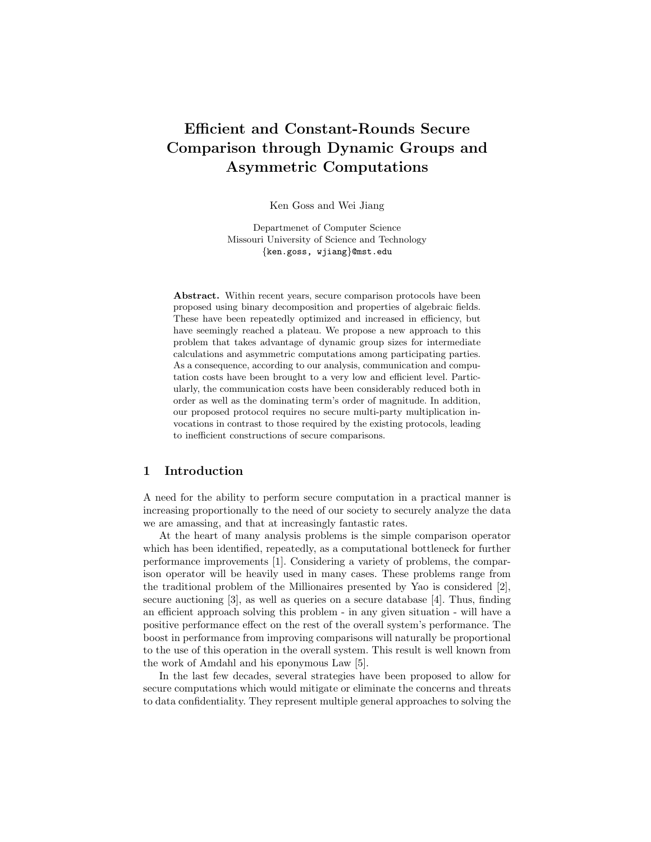# Efficient and Constant-Rounds Secure Comparison through Dynamic Groups and Asymmetric Computations

Ken Goss and Wei Jiang

Departmenet of Computer Science Missouri University of Science and Technology {ken.goss, wjiang}@mst.edu

Abstract. Within recent years, secure comparison protocols have been proposed using binary decomposition and properties of algebraic fields. These have been repeatedly optimized and increased in efficiency, but have seemingly reached a plateau. We propose a new approach to this problem that takes advantage of dynamic group sizes for intermediate calculations and asymmetric computations among participating parties. As a consequence, according to our analysis, communication and computation costs have been brought to a very low and efficient level. Particularly, the communication costs have been considerably reduced both in order as well as the dominating term's order of magnitude. In addition, our proposed protocol requires no secure multi-party multiplication invocations in contrast to those required by the existing protocols, leading to inefficient constructions of secure comparisons.

## 1 Introduction

A need for the ability to perform secure computation in a practical manner is increasing proportionally to the need of our society to securely analyze the data we are amassing, and that at increasingly fantastic rates.

At the heart of many analysis problems is the simple comparison operator which has been identified, repeatedly, as a computational bottleneck for further performance improvements [1]. Considering a variety of problems, the comparison operator will be heavily used in many cases. These problems range from the traditional problem of the Millionaires presented by Yao is considered [2], secure auctioning [3], as well as queries on a secure database [4]. Thus, finding an efficient approach solving this problem - in any given situation - will have a positive performance effect on the rest of the overall system's performance. The boost in performance from improving comparisons will naturally be proportional to the use of this operation in the overall system. This result is well known from the work of Amdahl and his eponymous Law [5].

In the last few decades, several strategies have been proposed to allow for secure computations which would mitigate or eliminate the concerns and threats to data confidentiality. They represent multiple general approaches to solving the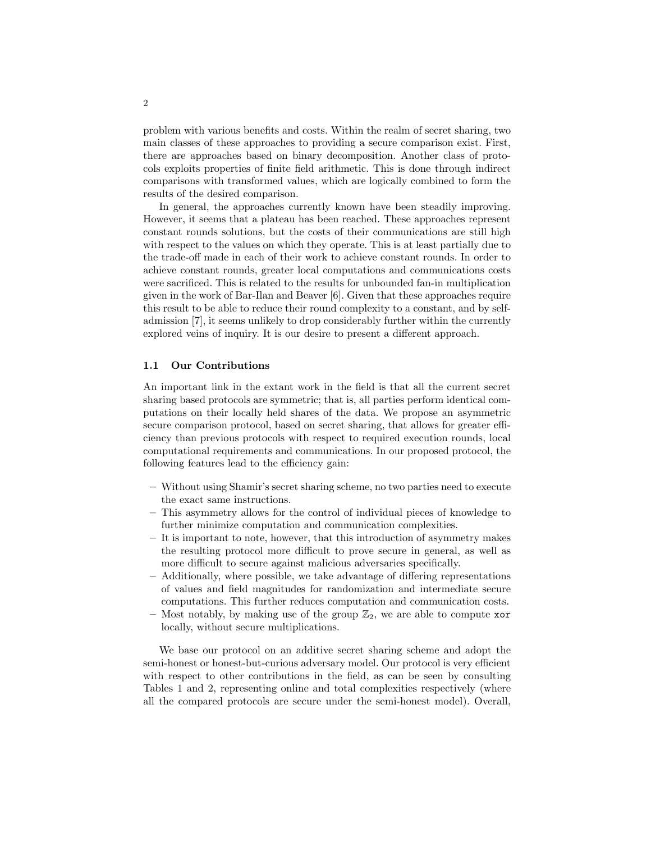problem with various benefits and costs. Within the realm of secret sharing, two main classes of these approaches to providing a secure comparison exist. First, there are approaches based on binary decomposition. Another class of protocols exploits properties of finite field arithmetic. This is done through indirect comparisons with transformed values, which are logically combined to form the results of the desired comparison.

In general, the approaches currently known have been steadily improving. However, it seems that a plateau has been reached. These approaches represent constant rounds solutions, but the costs of their communications are still high with respect to the values on which they operate. This is at least partially due to the trade-off made in each of their work to achieve constant rounds. In order to achieve constant rounds, greater local computations and communications costs were sacrificed. This is related to the results for unbounded fan-in multiplication given in the work of Bar-Ilan and Beaver [6]. Given that these approaches require this result to be able to reduce their round complexity to a constant, and by selfadmission [7], it seems unlikely to drop considerably further within the currently explored veins of inquiry. It is our desire to present a different approach.

### 1.1 Our Contributions

An important link in the extant work in the field is that all the current secret sharing based protocols are symmetric; that is, all parties perform identical computations on their locally held shares of the data. We propose an asymmetric secure comparison protocol, based on secret sharing, that allows for greater efficiency than previous protocols with respect to required execution rounds, local computational requirements and communications. In our proposed protocol, the following features lead to the efficiency gain:

- Without using Shamir's secret sharing scheme, no two parties need to execute the exact same instructions.
- This asymmetry allows for the control of individual pieces of knowledge to further minimize computation and communication complexities.
- It is important to note, however, that this introduction of asymmetry makes the resulting protocol more difficult to prove secure in general, as well as more difficult to secure against malicious adversaries specifically.
- Additionally, where possible, we take advantage of differing representations of values and field magnitudes for randomization and intermediate secure computations. This further reduces computation and communication costs.
- Most notably, by making use of the group  $\mathbb{Z}_2$ , we are able to compute xor locally, without secure multiplications.

We base our protocol on an additive secret sharing scheme and adopt the semi-honest or honest-but-curious adversary model. Our protocol is very efficient with respect to other contributions in the field, as can be seen by consulting Tables 1 and 2, representing online and total complexities respectively (where all the compared protocols are secure under the semi-honest model). Overall,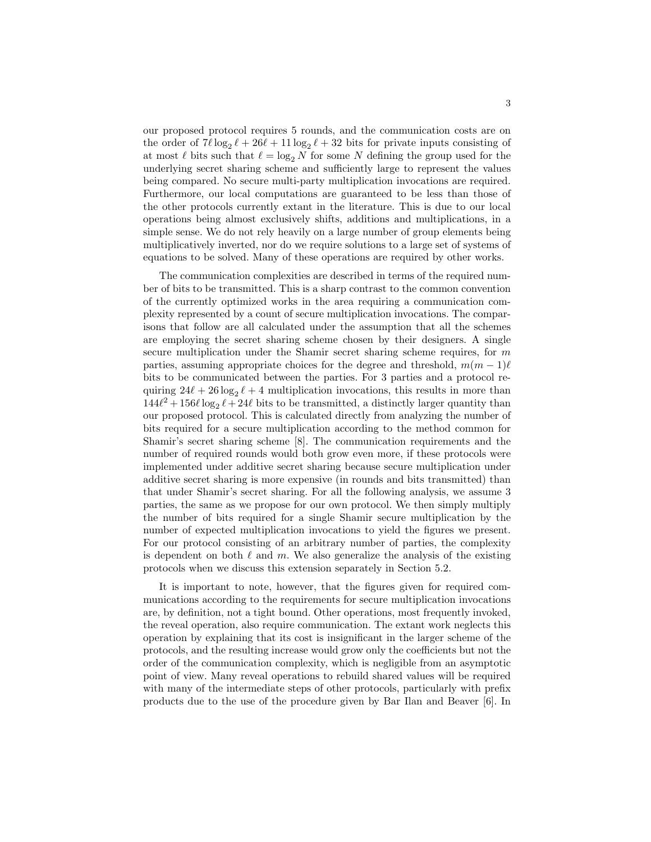our proposed protocol requires 5 rounds, and the communication costs are on the order of  $7\ell \log_2 \ell + 26\ell + 11 \log_2 \ell + 32$  bits for private inputs consisting of at most  $\ell$  bits such that  $\ell = \log_2 N$  for some N defining the group used for the underlying secret sharing scheme and sufficiently large to represent the values being compared. No secure multi-party multiplication invocations are required. Furthermore, our local computations are guaranteed to be less than those of the other protocols currently extant in the literature. This is due to our local operations being almost exclusively shifts, additions and multiplications, in a simple sense. We do not rely heavily on a large number of group elements being multiplicatively inverted, nor do we require solutions to a large set of systems of equations to be solved. Many of these operations are required by other works.

The communication complexities are described in terms of the required number of bits to be transmitted. This is a sharp contrast to the common convention of the currently optimized works in the area requiring a communication complexity represented by a count of secure multiplication invocations. The comparisons that follow are all calculated under the assumption that all the schemes are employing the secret sharing scheme chosen by their designers. A single secure multiplication under the Shamir secret sharing scheme requires, for  $m$ parties, assuming appropriate choices for the degree and threshold,  $m(m - 1)\ell$ bits to be communicated between the parties. For 3 parties and a protocol requiring  $24\ell + 26 \log_2 \ell + 4$  multiplication invocations, this results in more than  $144\ell^2 + 156\ell \log_2 \ell + 24\ell$  bits to be transmitted, a distinctly larger quantity than our proposed protocol. This is calculated directly from analyzing the number of bits required for a secure multiplication according to the method common for Shamir's secret sharing scheme [8]. The communication requirements and the number of required rounds would both grow even more, if these protocols were implemented under additive secret sharing because secure multiplication under additive secret sharing is more expensive (in rounds and bits transmitted) than that under Shamir's secret sharing. For all the following analysis, we assume 3 parties, the same as we propose for our own protocol. We then simply multiply the number of bits required for a single Shamir secure multiplication by the number of expected multiplication invocations to yield the figures we present. For our protocol consisting of an arbitrary number of parties, the complexity is dependent on both  $\ell$  and m. We also generalize the analysis of the existing protocols when we discuss this extension separately in Section 5.2.

It is important to note, however, that the figures given for required communications according to the requirements for secure multiplication invocations are, by definition, not a tight bound. Other operations, most frequently invoked, the reveal operation, also require communication. The extant work neglects this operation by explaining that its cost is insignificant in the larger scheme of the protocols, and the resulting increase would grow only the coefficients but not the order of the communication complexity, which is negligible from an asymptotic point of view. Many reveal operations to rebuild shared values will be required with many of the intermediate steps of other protocols, particularly with prefix products due to the use of the procedure given by Bar Ilan and Beaver [6]. In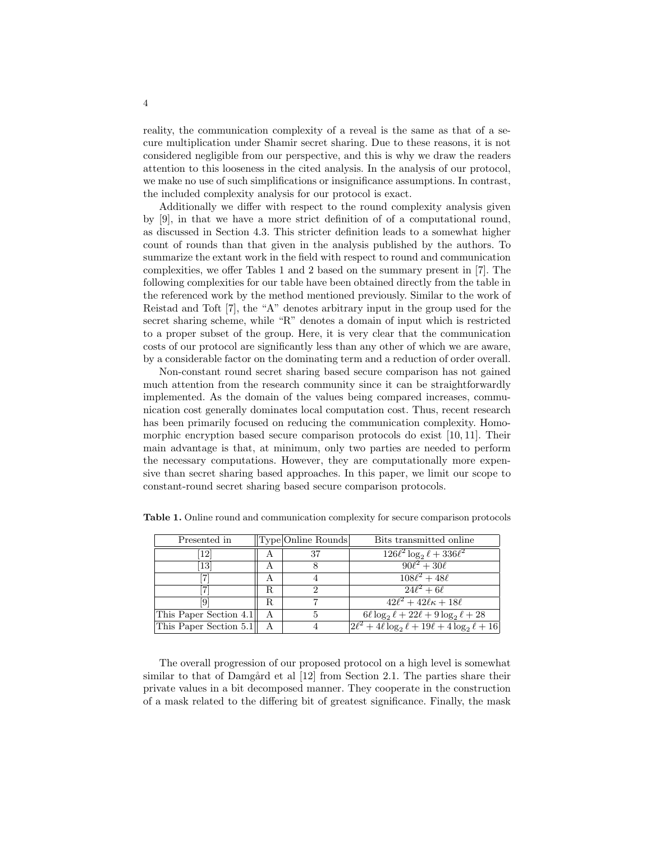reality, the communication complexity of a reveal is the same as that of a secure multiplication under Shamir secret sharing. Due to these reasons, it is not considered negligible from our perspective, and this is why we draw the readers attention to this looseness in the cited analysis. In the analysis of our protocol, we make no use of such simplifications or insignificance assumptions. In contrast, the included complexity analysis for our protocol is exact.

Additionally we differ with respect to the round complexity analysis given by [9], in that we have a more strict definition of of a computational round, as discussed in Section 4.3. This stricter definition leads to a somewhat higher count of rounds than that given in the analysis published by the authors. To summarize the extant work in the field with respect to round and communication complexities, we offer Tables 1 and 2 based on the summary present in [7]. The following complexities for our table have been obtained directly from the table in the referenced work by the method mentioned previously. Similar to the work of Reistad and Toft [7], the "A" denotes arbitrary input in the group used for the secret sharing scheme, while "R" denotes a domain of input which is restricted to a proper subset of the group. Here, it is very clear that the communication costs of our protocol are significantly less than any other of which we are aware, by a considerable factor on the dominating term and a reduction of order overall.

Non-constant round secret sharing based secure comparison has not gained much attention from the research community since it can be straightforwardly implemented. As the domain of the values being compared increases, communication cost generally dominates local computation cost. Thus, recent research has been primarily focused on reducing the communication complexity. Homomorphic encryption based secure comparison protocols do exist [10, 11]. Their main advantage is that, at minimum, only two parties are needed to perform the necessary computations. However, they are computationally more expensive than secret sharing based approaches. In this paper, we limit our scope to constant-round secret sharing based secure comparison protocols.

| Presented in           |    | Type Online Rounds | Bits transmitted online                                                    |
|------------------------|----|--------------------|----------------------------------------------------------------------------|
| 12                     | A  | 37                 | $126\ell^2 \log_2 \ell + 336\ell^2$                                        |
| $\left[13\right]$      |    |                    | $90\ell^2 + 30\ell$                                                        |
|                        |    |                    | $\sqrt{108\ell^2 + 48\ell}$                                                |
|                        | R. |                    | $24l^2 + 6l$                                                               |
| 9                      | R. |                    | $42\ell^2 + 42\ell\kappa + 18\ell$                                         |
| This Paper Section 4.1 | А  | 5                  | $6\ell \log_2 \ell + 22\ell + 9 \log_2 \ell + 28$                          |
| This Paper Section 5.1 |    |                    | $\left  2\ell^2 + 4\ell \log_2 \ell + 19\ell + 4 \log_2 \ell + 16 \right $ |

Table 1. Online round and communication complexity for secure comparison protocols

The overall progression of our proposed protocol on a high level is somewhat similar to that of Damgård et al  $[12]$  from Section 2.1. The parties share their private values in a bit decomposed manner. They cooperate in the construction of a mask related to the differing bit of greatest significance. Finally, the mask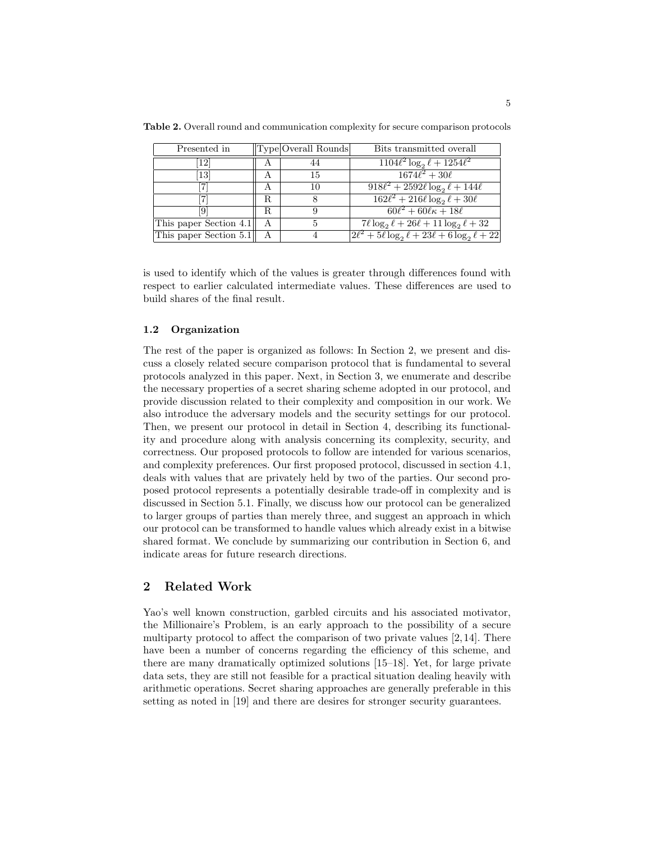| Presented in                 |                | Type Overall Rounds | Bits transmitted overall                                    |
|------------------------------|----------------|---------------------|-------------------------------------------------------------|
| 12                           | $\overline{A}$ |                     | $\sqrt{1104\ell^2 \log_2 \ell + 1254\ell^2}$                |
| $\left\lceil 13\right\rceil$ |                | 15                  | $\sqrt{1674\ell^2+30\ell}$                                  |
|                              | А              | 10                  | $\sqrt{918\ell^2 + 2592\ell \log_2 \ell + 144\ell}$         |
|                              | R              |                     | $162\ell^2 + 216\ell \log_2 \ell + 30\ell$                  |
| [9]                          | R.             |                     | $\frac{60\ell^2 + 60\ell\kappa + 18\ell}{\sqrt{6}}$         |
| This paper Section 4.1       | A              |                     | $7\ell \log_2 \ell + 26\ell + 11 \log_2 \ell + 32$          |
| This paper Section 5.1       |                |                     | $2\ell^2 + 5\ell \log_2 \ell + 23\ell + 6 \log_2 \ell + 22$ |

Table 2. Overall round and communication complexity for secure comparison protocols

is used to identify which of the values is greater through differences found with respect to earlier calculated intermediate values. These differences are used to build shares of the final result.

## 1.2 Organization

The rest of the paper is organized as follows: In Section 2, we present and discuss a closely related secure comparison protocol that is fundamental to several protocols analyzed in this paper. Next, in Section 3, we enumerate and describe the necessary properties of a secret sharing scheme adopted in our protocol, and provide discussion related to their complexity and composition in our work. We also introduce the adversary models and the security settings for our protocol. Then, we present our protocol in detail in Section 4, describing its functionality and procedure along with analysis concerning its complexity, security, and correctness. Our proposed protocols to follow are intended for various scenarios, and complexity preferences. Our first proposed protocol, discussed in section 4.1, deals with values that are privately held by two of the parties. Our second proposed protocol represents a potentially desirable trade-off in complexity and is discussed in Section 5.1. Finally, we discuss how our protocol can be generalized to larger groups of parties than merely three, and suggest an approach in which our protocol can be transformed to handle values which already exist in a bitwise shared format. We conclude by summarizing our contribution in Section 6, and indicate areas for future research directions.

## 2 Related Work

Yao's well known construction, garbled circuits and his associated motivator, the Millionaire's Problem, is an early approach to the possibility of a secure multiparty protocol to affect the comparison of two private values [2, 14]. There have been a number of concerns regarding the efficiency of this scheme, and there are many dramatically optimized solutions [15–18]. Yet, for large private data sets, they are still not feasible for a practical situation dealing heavily with arithmetic operations. Secret sharing approaches are generally preferable in this setting as noted in [19] and there are desires for stronger security guarantees.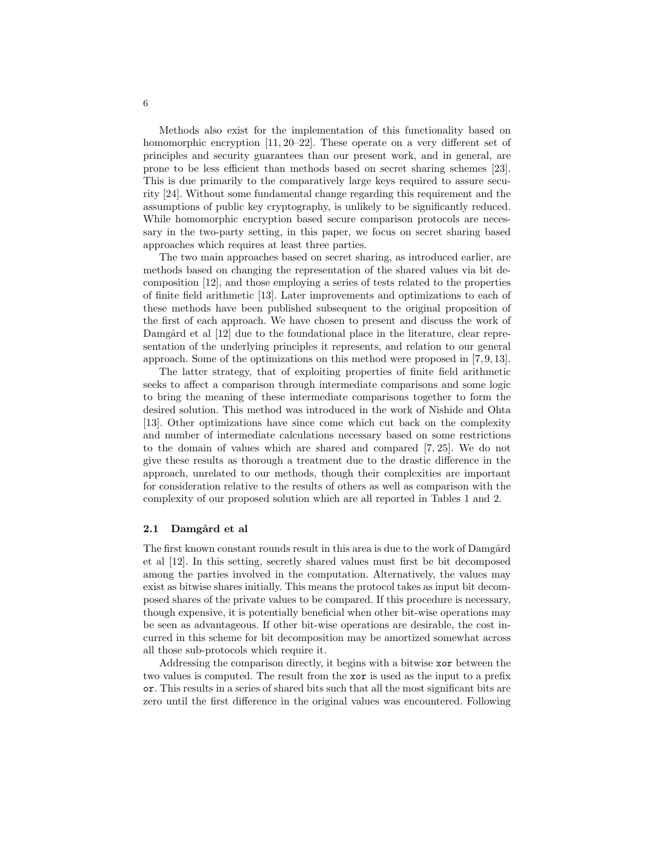Methods also exist for the implementation of this functionality based on homomorphic encryption [11, 20–22]. These operate on a very different set of principles and security guarantees than our present work, and in general, are prone to be less efficient than methods based on secret sharing schemes [23]. This is due primarily to the comparatively large keys required to assure security [24]. Without some fundamental change regarding this requirement and the assumptions of public key cryptography, is unlikely to be significantly reduced. While homomorphic encryption based secure comparison protocols are necessary in the two-party setting, in this paper, we focus on secret sharing based approaches which requires at least three parties.

The two main approaches based on secret sharing, as introduced earlier, are methods based on changing the representation of the shared values via bit decomposition [12], and those employing a series of tests related to the properties of finite field arithmetic [13]. Later improvements and optimizations to each of these methods have been published subsequent to the original proposition of the first of each approach. We have chosen to present and discuss the work of Damgård et al [12] due to the foundational place in the literature, clear representation of the underlying principles it represents, and relation to our general approach. Some of the optimizations on this method were proposed in [7, 9, 13].

The latter strategy, that of exploiting properties of finite field arithmetic seeks to affect a comparison through intermediate comparisons and some logic to bring the meaning of these intermediate comparisons together to form the desired solution. This method was introduced in the work of Nishide and Ohta [13]. Other optimizations have since come which cut back on the complexity and number of intermediate calculations necessary based on some restrictions to the domain of values which are shared and compared [7, 25]. We do not give these results as thorough a treatment due to the drastic difference in the approach, unrelated to our methods, though their complexities are important for consideration relative to the results of others as well as comparison with the complexity of our proposed solution which are all reported in Tables 1 and 2.

#### 2.1 Damgård et al

The first known constant rounds result in this area is due to the work of Damgård et al [12]. In this setting, secretly shared values must first be bit decomposed among the parties involved in the computation. Alternatively, the values may exist as bitwise shares initially. This means the protocol takes as input bit decomposed shares of the private values to be compared. If this procedure is necessary, though expensive, it is potentially beneficial when other bit-wise operations may be seen as advantageous. If other bit-wise operations are desirable, the cost incurred in this scheme for bit decomposition may be amortized somewhat across all those sub-protocols which require it.

Addressing the comparison directly, it begins with a bitwise xor between the two values is computed. The result from the xor is used as the input to a prefix or. This results in a series of shared bits such that all the most significant bits are zero until the first difference in the original values was encountered. Following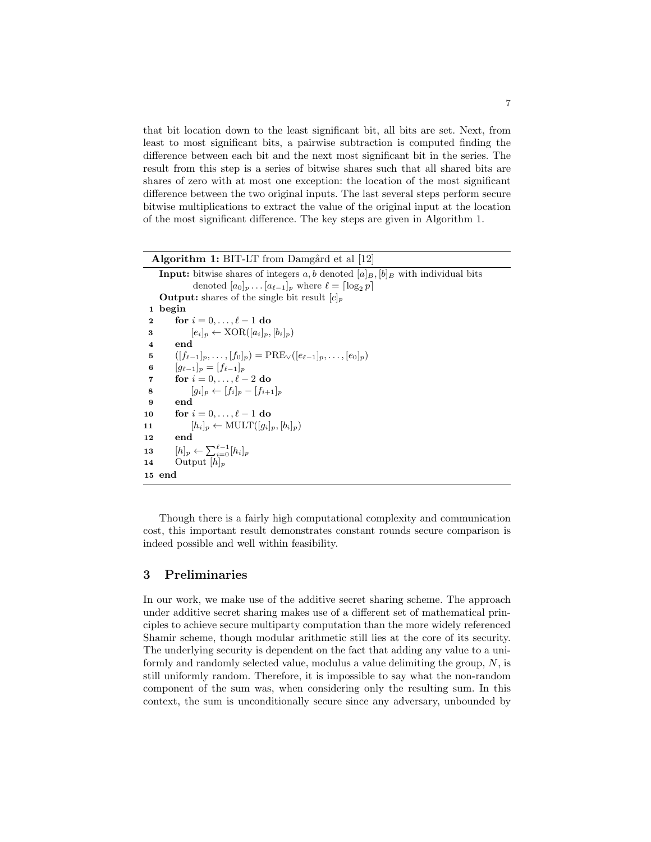that bit location down to the least significant bit, all bits are set. Next, from least to most significant bits, a pairwise subtraction is computed finding the difference between each bit and the next most significant bit in the series. The result from this step is a series of bitwise shares such that all shared bits are shares of zero with at most one exception: the location of the most significant difference between the two original inputs. The last several steps perform secure bitwise multiplications to extract the value of the original input at the location of the most significant difference. The key steps are given in Algorithm 1.

| <b>Algorithm 1:</b> BIT-LT from Damgard et al [12]                                            |
|-----------------------------------------------------------------------------------------------|
| <b>Input:</b> bitwise shares of integers a, b denoted $ a _B$ , $ b _B$ with individual bits  |
| denoted $[a_0]_p \dots [a_{\ell-1}]_p$ where $\ell = \lceil \log_2 p \rceil$                  |
| <b>Output:</b> shares of the single bit result $ c _n$                                        |
| begin<br>$\mathbf{1}$                                                                         |
| for $i = 0, \ldots, \ell - 1$ do<br>2                                                         |
| $[e_i]_p \leftarrow XOR([a_i]_p, [b_i]_p)$<br>3                                               |
| end<br>$\overline{\mathbf{4}}$                                                                |
| $([f_{\ell-1}]_n, \ldots, [f_0]_n) = \text{PRE}_{\vee}([e_{\ell-1}]_n, \ldots, [e_0]_n)$<br>5 |
| $[q_{\ell-1}]_p = [f_{\ell-1}]_p$<br>6                                                        |
| for $i = 0, \ldots, \ell - 2$ do<br>7                                                         |
| $[q_i]_n \leftarrow [f_i]_n - [f_{i+1}]_n$<br>8                                               |
| end<br>9                                                                                      |
| for $i = 0, \ldots, \ell - 1$ do<br>10                                                        |
| $[h_i]_p \leftarrow \text{MULT}([q_i]_p, [b_i]_p)$<br>11                                      |
| end<br>12                                                                                     |
| $[h]_p \leftarrow \sum_{i=0}^{\ell-1} [h_i]_p$<br>13                                          |
| Output $[h]_p$<br>14                                                                          |
| 15 end                                                                                        |

Though there is a fairly high computational complexity and communication cost, this important result demonstrates constant rounds secure comparison is indeed possible and well within feasibility.

## 3 Preliminaries

In our work, we make use of the additive secret sharing scheme. The approach under additive secret sharing makes use of a different set of mathematical principles to achieve secure multiparty computation than the more widely referenced Shamir scheme, though modular arithmetic still lies at the core of its security. The underlying security is dependent on the fact that adding any value to a uniformly and randomly selected value, modulus a value delimiting the group,  $N$ , is still uniformly random. Therefore, it is impossible to say what the non-random component of the sum was, when considering only the resulting sum. In this context, the sum is unconditionally secure since any adversary, unbounded by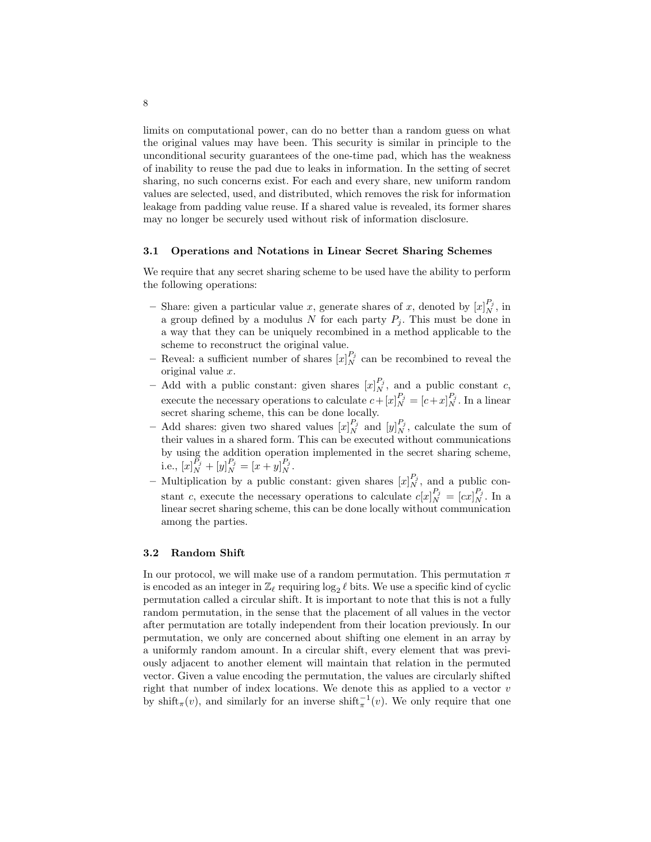limits on computational power, can do no better than a random guess on what the original values may have been. This security is similar in principle to the unconditional security guarantees of the one-time pad, which has the weakness of inability to reuse the pad due to leaks in information. In the setting of secret sharing, no such concerns exist. For each and every share, new uniform random values are selected, used, and distributed, which removes the risk for information leakage from padding value reuse. If a shared value is revealed, its former shares may no longer be securely used without risk of information disclosure.

#### 3.1 Operations and Notations in Linear Secret Sharing Schemes

We require that any secret sharing scheme to be used have the ability to perform the following operations:

- Share: given a particular value x, generate shares of x, denoted by  $[x]_N^{P_j}$ , in a group defined by a modulus N for each party  $P_j$ . This must be done in a way that they can be uniquely recombined in a method applicable to the scheme to reconstruct the original value.
- Reveal: a sufficient number of shares  $[x]_N^{P_j}$  can be recombined to reveal the original value x.
- Add with a public constant: given shares  $[x]_N^{P_j}$ , and a public constant c, execute the necessary operations to calculate  $c + [x]_N^{P_j} = [c + x]_N^{P_j}$ . In a linear secret sharing scheme, this can be done locally.
- Add shares: given two shared values  $[x]_N^{P_j}$  and  $[y]_N^{P_j}$ , calculate the sum of their values in a shared form. This can be executed without communications by using the addition operation implemented in the secret sharing scheme, i.e.,  $[x]_N^{P_j} + [y]_N^{P_j} = [x+y]_N^{P_j}$ .
- Multiplication by a public constant: given shares  $[x]_N^{P_j}$ , and a public constant c, execute the necessary operations to calculate  $c[x]_N^{P_j} = [cx]_N^{P_j}$ . In a linear secret sharing scheme, this can be done locally without communication among the parties.

### 3.2 Random Shift

In our protocol, we will make use of a random permutation. This permutation  $\pi$ is encoded as an integer in  $\mathbb{Z}_\ell$  requiring  $\log_2 \ell$  bits. We use a specific kind of cyclic permutation called a circular shift. It is important to note that this is not a fully random permutation, in the sense that the placement of all values in the vector after permutation are totally independent from their location previously. In our permutation, we only are concerned about shifting one element in an array by a uniformly random amount. In a circular shift, every element that was previously adjacent to another element will maintain that relation in the permuted vector. Given a value encoding the permutation, the values are circularly shifted right that number of index locations. We denote this as applied to a vector  $v$ by shift<sub>π</sub> $(v)$ , and similarly for an inverse shift<sub>π</sub><sup>1</sup> $(v)$ . We only require that one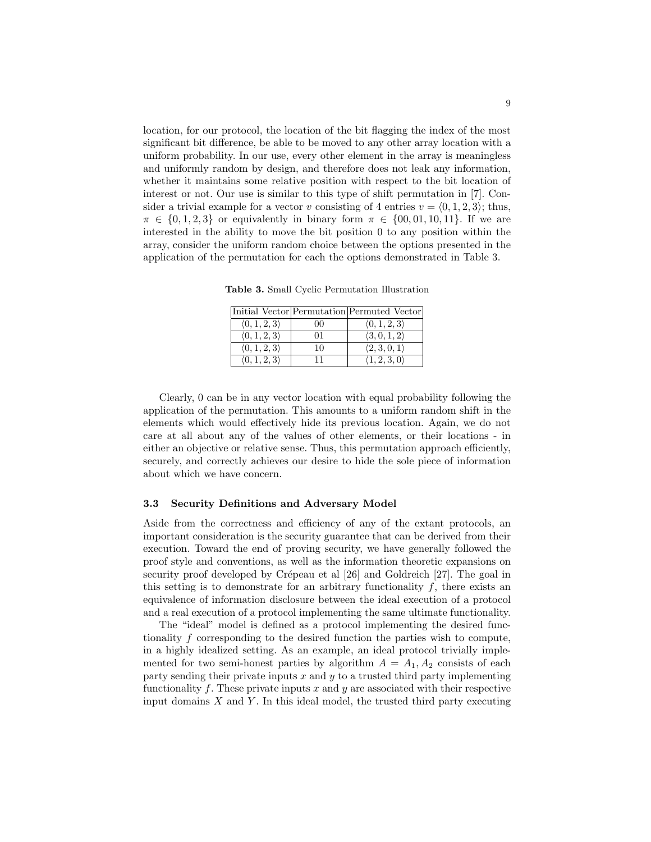location, for our protocol, the location of the bit flagging the index of the most significant bit difference, be able to be moved to any other array location with a uniform probability. In our use, every other element in the array is meaningless and uniformly random by design, and therefore does not leak any information, whether it maintains some relative position with respect to the bit location of interest or not. Our use is similar to this type of shift permutation in [7]. Consider a trivial example for a vector v consisting of 4 entries  $v = \langle 0, 1, 2, 3 \rangle$ ; thus,  $\pi \in \{0, 1, 2, 3\}$  or equivalently in binary form  $\pi \in \{00, 01, 10, 11\}$ . If we are interested in the ability to move the bit position 0 to any position within the array, consider the uniform random choice between the options presented in the application of the permutation for each the options demonstrated in Table 3.

Table 3. Small Cyclic Permutation Illustration

|                              |    | Initial Vector Permutation Permuted Vector |
|------------------------------|----|--------------------------------------------|
| $\langle 0, 1, 2, 3 \rangle$ | 00 | $\langle 0,1,2,3 \rangle$                  |
| $\langle 0, 1, 2, 3 \rangle$ | 01 | $\langle 3,0,1,2\rangle$                   |
| $\langle 0, 1, 2, 3 \rangle$ | 10 | $\langle 2,3,0,1\rangle$                   |
| $\langle 0, 1, 2, 3 \rangle$ |    | $\langle 1, 2, 3, 0 \rangle$               |

Clearly, 0 can be in any vector location with equal probability following the application of the permutation. This amounts to a uniform random shift in the elements which would effectively hide its previous location. Again, we do not care at all about any of the values of other elements, or their locations - in either an objective or relative sense. Thus, this permutation approach efficiently, securely, and correctly achieves our desire to hide the sole piece of information about which we have concern.

#### 3.3 Security Definitions and Adversary Model

Aside from the correctness and efficiency of any of the extant protocols, an important consideration is the security guarantee that can be derived from their execution. Toward the end of proving security, we have generally followed the proof style and conventions, as well as the information theoretic expansions on security proof developed by Crépeau et al [26] and Goldreich [27]. The goal in this setting is to demonstrate for an arbitrary functionality  $f$ , there exists an equivalence of information disclosure between the ideal execution of a protocol and a real execution of a protocol implementing the same ultimate functionality.

The "ideal" model is defined as a protocol implementing the desired functionality f corresponding to the desired function the parties wish to compute, in a highly idealized setting. As an example, an ideal protocol trivially implemented for two semi-honest parties by algorithm  $A = A_1, A_2$  consists of each party sending their private inputs  $x$  and  $y$  to a trusted third party implementing functionality  $f$ . These private inputs  $x$  and  $y$  are associated with their respective input domains  $X$  and  $Y$ . In this ideal model, the trusted third party executing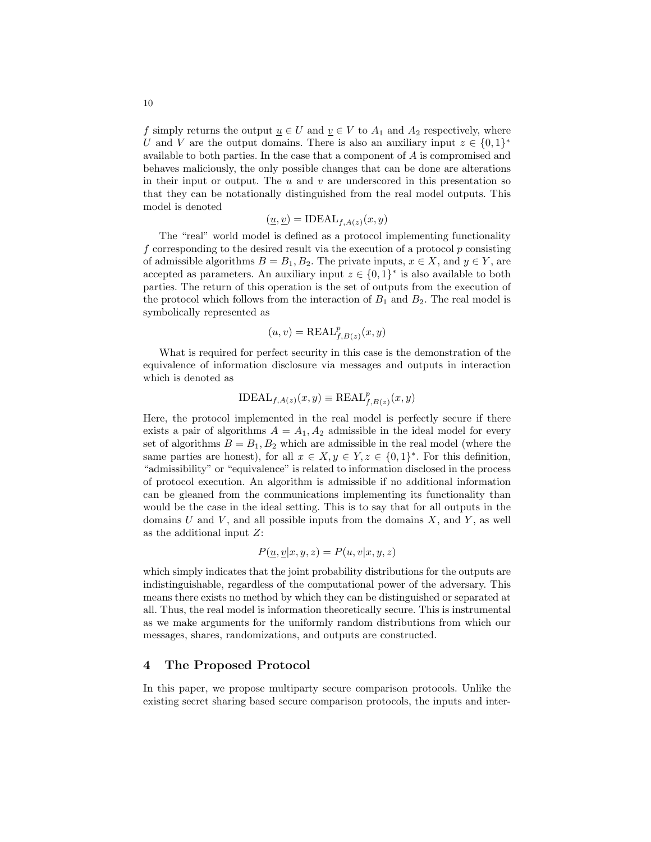f simply returns the output  $\underline{u} \in U$  and  $\underline{v} \in V$  to  $A_1$  and  $A_2$  respectively, where U and V are the output domains. There is also an auxiliary input  $z \in \{0,1\}^*$ available to both parties. In the case that a component of A is compromised and behaves maliciously, the only possible changes that can be done are alterations in their input or output. The  $u$  and  $v$  are underscored in this presentation so that they can be notationally distinguished from the real model outputs. This model is denoted

$$
(\underline{u}, \underline{v}) = \text{IDEAL}_{f, A(z)}(x, y)
$$

The "real" world model is defined as a protocol implementing functionality f corresponding to the desired result via the execution of a protocol p consisting of admissible algorithms  $B = B_1, B_2$ . The private inputs,  $x \in X$ , and  $y \in Y$ , are accepted as parameters. An auxiliary input  $z \in \{0,1\}^*$  is also available to both parties. The return of this operation is the set of outputs from the execution of the protocol which follows from the interaction of  $B_1$  and  $B_2$ . The real model is symbolically represented as

$$
(u, v) = \text{REAL}_{f, B(z)}^p(x, y)
$$

What is required for perfect security in this case is the demonstration of the equivalence of information disclosure via messages and outputs in interaction which is denoted as

$$
\text{IDEAL}_{f,A(z)}(x,y) \equiv \text{REAL}_{f,B(z)}^p(x,y)
$$

Here, the protocol implemented in the real model is perfectly secure if there exists a pair of algorithms  $A = A_1, A_2$  admissible in the ideal model for every set of algorithms  $B = B_1, B_2$  which are admissible in the real model (where the same parties are honest), for all  $x \in X, y \in Y, z \in \{0,1\}^*$ . For this definition, "admissibility" or "equivalence" is related to information disclosed in the process of protocol execution. An algorithm is admissible if no additional information can be gleaned from the communications implementing its functionality than would be the case in the ideal setting. This is to say that for all outputs in the domains  $U$  and  $V$ , and all possible inputs from the domains  $X$ , and  $Y$ , as well as the additional input Z:

$$
P(\underline{u}, \underline{v} | x, y, z) = P(u, v | x, y, z)
$$

which simply indicates that the joint probability distributions for the outputs are indistinguishable, regardless of the computational power of the adversary. This means there exists no method by which they can be distinguished or separated at all. Thus, the real model is information theoretically secure. This is instrumental as we make arguments for the uniformly random distributions from which our messages, shares, randomizations, and outputs are constructed.

## 4 The Proposed Protocol

In this paper, we propose multiparty secure comparison protocols. Unlike the existing secret sharing based secure comparison protocols, the inputs and inter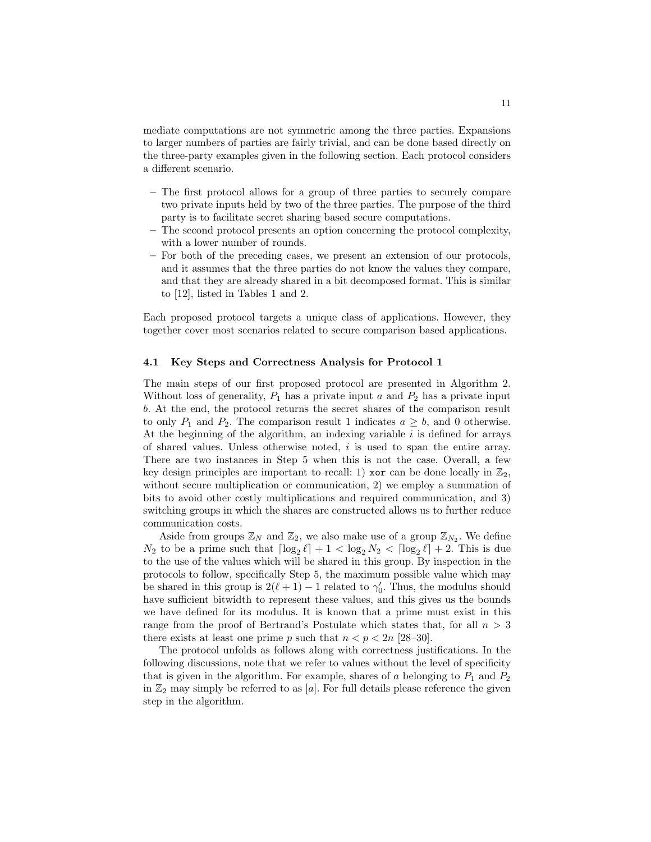mediate computations are not symmetric among the three parties. Expansions to larger numbers of parties are fairly trivial, and can be done based directly on the three-party examples given in the following section. Each protocol considers a different scenario.

- The first protocol allows for a group of three parties to securely compare two private inputs held by two of the three parties. The purpose of the third party is to facilitate secret sharing based secure computations.
- The second protocol presents an option concerning the protocol complexity, with a lower number of rounds.
- For both of the preceding cases, we present an extension of our protocols, and it assumes that the three parties do not know the values they compare, and that they are already shared in a bit decomposed format. This is similar to [12], listed in Tables 1 and 2.

Each proposed protocol targets a unique class of applications. However, they together cover most scenarios related to secure comparison based applications.

#### 4.1 Key Steps and Correctness Analysis for Protocol 1

The main steps of our first proposed protocol are presented in Algorithm 2. Without loss of generality,  $P_1$  has a private input a and  $P_2$  has a private input b. At the end, the protocol returns the secret shares of the comparison result to only  $P_1$  and  $P_2$ . The comparison result 1 indicates  $a \geq b$ , and 0 otherwise. At the beginning of the algorithm, an indexing variable  $i$  is defined for arrays of shared values. Unless otherwise noted, i is used to span the entire array. There are two instances in Step 5 when this is not the case. Overall, a few key design principles are important to recall: 1) xor can be done locally in  $\mathbb{Z}_2$ , without secure multiplication or communication, 2) we employ a summation of bits to avoid other costly multiplications and required communication, and 3) switching groups in which the shares are constructed allows us to further reduce communication costs.

Aside from groups  $\mathbb{Z}_N$  and  $\mathbb{Z}_2$ , we also make use of a group  $\mathbb{Z}_{N_2}$ . We define  $N_2$  to be a prime such that  $\lceil \log_2 \ell \rceil + 1 < \log_2 N_2 < \lceil \log_2 \ell \rceil + 2$ . This is due to the use of the values which will be shared in this group. By inspection in the protocols to follow, specifically Step 5, the maximum possible value which may be shared in this group is  $2(\ell + 1) - 1$  related to  $\gamma'_0$ . Thus, the modulus should have sufficient bitwidth to represent these values, and this gives us the bounds we have defined for its modulus. It is known that a prime must exist in this range from the proof of Bertrand's Postulate which states that, for all  $n > 3$ there exists at least one prime p such that  $n < p < 2n$  [28–30].

The protocol unfolds as follows along with correctness justifications. In the following discussions, note that we refer to values without the level of specificity that is given in the algorithm. For example, shares of a belonging to  $P_1$  and  $P_2$ in  $\mathbb{Z}_2$  may simply be referred to as [a]. For full details please reference the given step in the algorithm.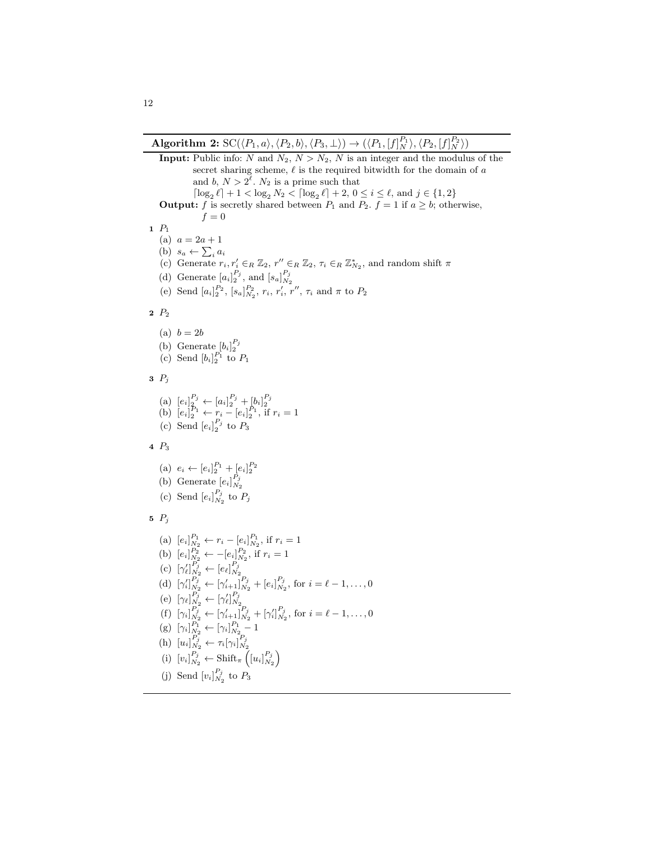**Input:** Public info: N and  $N_2$ ,  $N > N_2$ , N is an integer and the modulus of the secret sharing scheme,  $\ell$  is the required bitwidth for the domain of  $a$ and b,  $N > 2^{\ell}$ .  $N_2$  is a prime such that  $\lceil \log_2 \ell \rceil + 1 < \log_2 N_2 < \lceil \log_2 \ell \rceil + 2, 0 \leq i \leq \ell$ , and  $j \in \{1, 2\}$ **Output:** f is secretly shared between  $P_1$  and  $P_2$ .  $f = 1$  if  $a \geq b$ ; otherwise,  $f = 0$ 1 P<sup>1</sup> (a)  $a = 2a + 1$ (b)  $s_a \leftarrow \sum_i a_i$ (c) Generate  $r_i, r'_i \in_R \mathbb{Z}_2$ ,  $r'' \in_R \mathbb{Z}_2$ ,  $\tau_i \in_R \mathbb{Z}_{N_2}^*$ , and random shift  $\pi$ (d) Generate  $[a_i]_2^{r_j}$ , and  $[s_a]_{N_2}^{r_j}$  $P_j$  and  $\lceil \frac{P_j}{q} \rceil$ (e) Send  $[a_i]_2^{P_2}$ ,  $[s_a]_{N_2}^{P_2}$ ,  $r_i$ ,  $r'_i$ ,  $r''$ ,  $\tau_i$  and  $\pi$  to  $P_2$  $2 P_2$ (a)  $b = 2b$ (b) Generate  $[b_i]_2^{P_j}$ <br>(c) Send  $[b_i]_2^{P_1}$  to  $P_1$  $3\ \ P_i$ (a)  $[e_i]_2^{P_j} \leftarrow [a_i]_2^{P_j} + [b_i]_2^{P_j}$ <br>
(b)  $[e_i]_2^{P_1} \leftarrow r_i - [e_i]_2^{P_1}$ , if  $r_i = 1$ (c) Send  $[e_i]_2^{P_j}$  to  $P_3$ 4 P<sup>3</sup> (a)  $e_i \leftarrow [e_i]_2^{P_1} + [e_i]_2^{P_2}$ (b) Generate  $[e_i]_{N_2}^{P_j}$ (c) Send  $[e_i]_{N_2}^{P_j}$  to  $P_j$ 5  $P_j$ (a)  $[e_i]_{N_2}^{P_1} \leftarrow r_i - [e_i]_{N_2}^{P_1}$ , if  $r_i = 1$ (b)  $[e_i]_{N_2}^{P_2} \leftarrow -[e_i]_{N_2}^{P_2}$ , if  $r_i = 1$ (c)  $[\gamma'_\ell]_{N_2}^{P_j} \leftarrow [e_\ell]_{N_2}^{P_j}$ (d)  $[\gamma_i']_{N_2}^{P_j} \leftarrow [\gamma_{i+1}']_{N_2}^{P_j} + [e_i]_{N_2}^{P_j}$ , for  $i = \ell - 1, ..., 0$ (e)  $[\gamma_{\ell}]_{N_2}^{P_j} \leftarrow [\gamma'_{\ell}]_{N_2}^{P_j}$  $P_j$ ,  $\Box P_j$ (f)  $[\gamma_i]_{N_2}^{P_j} \leftarrow [\gamma'_{i+1}]_{N_2}^{P_j} + [\gamma'_i]_{N_2}^{P_j}$ , for  $i = \ell - 1, ..., 0$ (g)  $[\gamma_i]_{N_2}^{P_1} \leftarrow [\gamma_i]_{N_2}^{P_1} - 1$ (h)  $[u_i]_{N_2}^{P_j} \leftarrow \tau_i[\gamma_i]_{N_2}^{P_j}$ (i)  $[v_i]_{N_2}^{P_j} \leftarrow \text{Shift}_{\pi} \left( [u_i]_{N_2}^{P_j} \right)$ (j) Send  $[v_i]_{N_2}^{P_j}$  to  $P_3$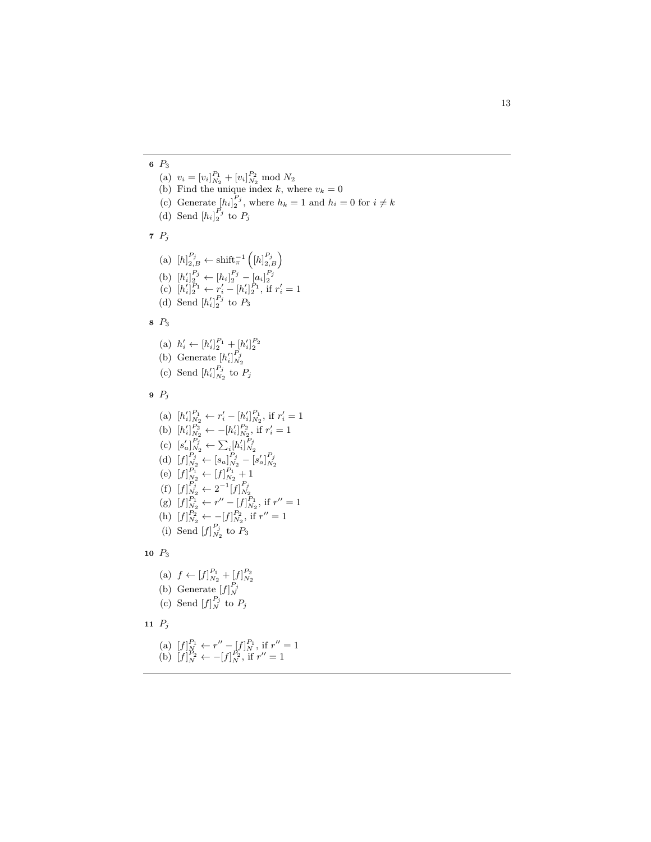6 P<sup>3</sup> (a)  $v_i = [v_i]_{N_2}^{P_1} + [v_i]_{N_2}^{P_2} \text{ mod } N_2$ (b) Find the unique index k, where  $v_k = 0$ (c) Generate  $[h_i]_2^{P_j}$ , where  $h_k = 1$  and  $h_i = 0$  for  $i \neq k$ (d) Send  $[h_i]_2^{P_j}$  to  $P_j$  $7P_j$ (a)  $[h]_{2,B}^{P_j} \leftarrow \text{shift}_{\pi}^{-1}([h]_{2,B}^{P_j})$ (b)  $[h'_i]_2^{P_j} \leftarrow [h_i]_2^{P_j} - [a_i]_2^{P_j}$ <br>
(c)  $[h'_i]_2^{P_1} \leftarrow r'_i - [h'_i]_2^{P_1}$ , if  $r'_i = 1$ (d) Send  $[h'_i]_2^{P_j}$  to  $P_3$ 8 P<sup>3</sup> (a)  $h'_i \leftarrow [h'_i]_2^{P_1} + [h'_i]_2^{P_2}$ (b) Generate  $[h'_i]_{N_2}^{P_j}$ (c) Send  $[h'_i]_{N_2}^{P_j}$  to  $P_j$  $9$   $P_j$ (a)  $[h'_i]_{N_2}^{P_1} \leftarrow r'_i - [h'_i]_{N_2}^{P_1}$ , if  $r'_i = 1$ (b)  $[h'_i]_{N_2}^{P_2} \leftarrow -[h'_i]_{N_2}^{P_2}$ , if  $r'_i = 1$ (c)  $[s'_a]_{N_2}^{P_j} \leftarrow \sum_i [h'_i]_{N_2}^{P_j}$ (d)  $[f]_{N_2}^{P_j} \leftarrow [s_a]_{N_2}^{P_j} - [s'_a]_{N_2}^{P_j}$ (e)  $[f]_{N_2}^{P_1} \leftarrow [f]_{N_2}^{P_1} + 1$ (f)  $[f]_{N_2}^{P_j} \leftarrow 2^{-1} [f]_{N_2}^{P_j}$ (g)  $[f]_{N_2}^{P_1} \leftarrow r'' - [f]_{N_2}^{P_1}$ , if  $r'' = 1$ (h)  $[f]_{N_2}^{P_2} \leftarrow -[f]_{N_2}^{P_2}$ , if  $r'' = 1$ (i) Send  $[f]_{N_2}^{r_j}$  to  $P_3$  $P_j$ 10  $P_3$ (a)  $f \leftarrow [f]_{N_2}^{P_1} + [f]_{N_2}^{P_2}$ (b) Generate  $[f]_N^{P_j}$ (c) Send  $[f]_N^{P_j}$  to  $P_j$ 11  $P_j$ (a)  $[f]_N^{P_1} \leftarrow r'' - [f]_N^{P_1}$ , if  $r'' = 1$ 

(b)  $[f]_N^{P_2} \leftarrow -[f]_N^{P_2}$ , if  $r'' = 1$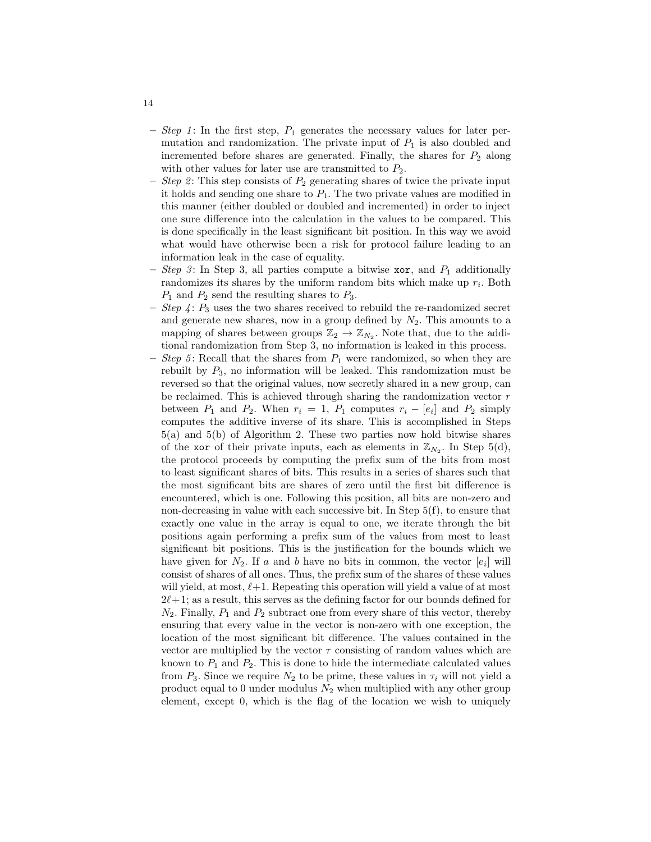- Step 1: In the first step,  $P_1$  generates the necessary values for later permutation and randomization. The private input of  $P_1$  is also doubled and incremented before shares are generated. Finally, the shares for  $P_2$  along with other values for later use are transmitted to  $P_2$ .
- Step 2: This step consists of  $P_2$  generating shares of twice the private input it holds and sending one share to  $P_1$ . The two private values are modified in this manner (either doubled or doubled and incremented) in order to inject one sure difference into the calculation in the values to be compared. This is done specifically in the least significant bit position. In this way we avoid what would have otherwise been a risk for protocol failure leading to an information leak in the case of equality.
- Step 3: In Step 3, all parties compute a bitwise  $\mathbf{x}$ or, and  $P_1$  additionally randomizes its shares by the uniform random bits which make up  $r_i$ . Both  $P_1$  and  $P_2$  send the resulting shares to  $P_3$ .
- Step  $\ddot{4}$ :  $P_3$  uses the two shares received to rebuild the re-randomized secret and generate new shares, now in a group defined by  $N_2$ . This amounts to a mapping of shares between groups  $\mathbb{Z}_2 \to \mathbb{Z}_{N_2}$ . Note that, due to the additional randomization from Step 3, no information is leaked in this process.
- *Step 5*: Recall that the shares from  $P_1$  were randomized, so when they are rebuilt by  $P_3$ , no information will be leaked. This randomization must be reversed so that the original values, now secretly shared in a new group, can be reclaimed. This is achieved through sharing the randomization vector  $r$ between  $P_1$  and  $P_2$ . When  $r_i = 1$ ,  $P_1$  computes  $r_i - [e_i]$  and  $P_2$  simply computes the additive inverse of its share. This is accomplished in Steps 5(a) and 5(b) of Algorithm 2. These two parties now hold bitwise shares of the xor of their private inputs, each as elements in  $\mathbb{Z}_{N_2}$ . In Step 5(d), the protocol proceeds by computing the prefix sum of the bits from most to least significant shares of bits. This results in a series of shares such that the most significant bits are shares of zero until the first bit difference is encountered, which is one. Following this position, all bits are non-zero and non-decreasing in value with each successive bit. In Step  $5(f)$ , to ensure that exactly one value in the array is equal to one, we iterate through the bit positions again performing a prefix sum of the values from most to least significant bit positions. This is the justification for the bounds which we have given for  $N_2$ . If a and b have no bits in common, the vector  $[e_i]$  will consist of shares of all ones. Thus, the prefix sum of the shares of these values will yield, at most,  $\ell+1$ . Repeating this operation will yield a value of at most  $2\ell+1$ ; as a result, this serves as the defining factor for our bounds defined for  $N_2$ . Finally,  $P_1$  and  $P_2$  subtract one from every share of this vector, thereby ensuring that every value in the vector is non-zero with one exception, the location of the most significant bit difference. The values contained in the vector are multiplied by the vector  $\tau$  consisting of random values which are known to  $P_1$  and  $P_2$ . This is done to hide the intermediate calculated values from  $P_3$ . Since we require  $N_2$  to be prime, these values in  $\tau_i$  will not yield a product equal to 0 under modulus  $N_2$  when multiplied with any other group element, except 0, which is the flag of the location we wish to uniquely

14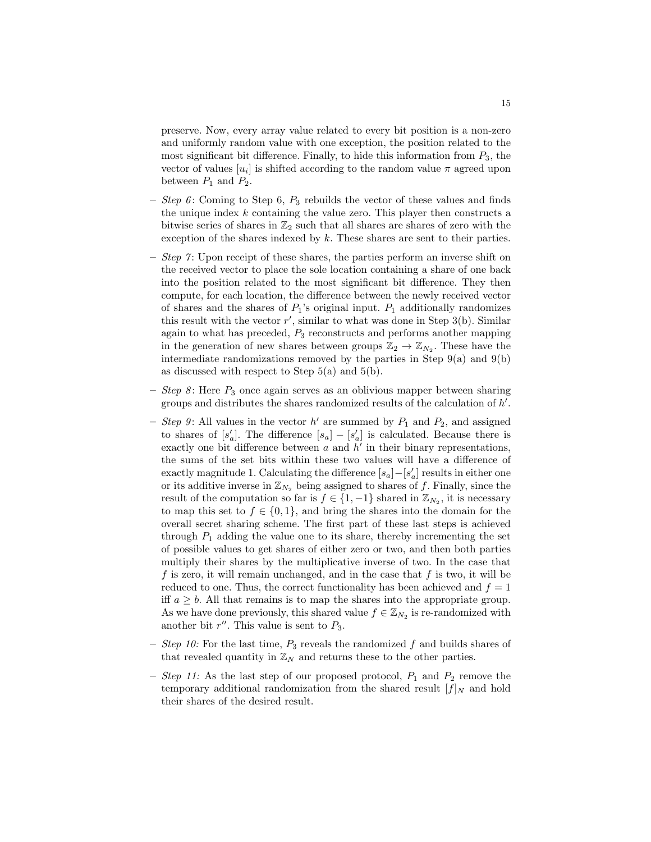preserve. Now, every array value related to every bit position is a non-zero and uniformly random value with one exception, the position related to the most significant bit difference. Finally, to hide this information from  $P_3$ , the vector of values  $[u_i]$  is shifted according to the random value  $\pi$  agreed upon between  $P_1$  and  $P_2$ .

- Step 6: Coming to Step 6,  $P_3$  rebuilds the vector of these values and finds the unique index  $k$  containing the value zero. This player then constructs a bitwise series of shares in  $\mathbb{Z}_2$  such that all shares are shares of zero with the exception of the shares indexed by k. These shares are sent to their parties.
- Step 7: Upon receipt of these shares, the parties perform an inverse shift on the received vector to place the sole location containing a share of one back into the position related to the most significant bit difference. They then compute, for each location, the difference between the newly received vector of shares and the shares of  $P_1$ 's original input.  $P_1$  additionally randomizes this result with the vector  $r'$ , similar to what was done in Step 3(b). Similar again to what has preceded,  $P_3$  reconstructs and performs another mapping in the generation of new shares between groups  $\mathbb{Z}_2 \to \mathbb{Z}_{N_2}$ . These have the intermediate randomizations removed by the parties in Step  $9(a)$  and  $9(b)$ as discussed with respect to Step  $5(a)$  and  $5(b)$ .
- Step 8: Here  $P_3$  once again serves as an oblivious mapper between sharing groups and distributes the shares randomized results of the calculation of  $h'$ .
- Step 9: All values in the vector  $h'$  are summed by  $P_1$  and  $P_2$ , and assigned to shares of  $[s'_a]$ . The difference  $[s_a] - [s'_a]$  is calculated. Because there is exactly one bit difference between  $a$  and  $h'$  in their binary representations, the sums of the set bits within these two values will have a difference of exactly magnitude 1. Calculating the difference  $[s_a] - [s'_a]$  results in either one or its additive inverse in  $\mathbb{Z}_{N_2}$  being assigned to shares of f. Finally, since the result of the computation so far is  $f \in \{1, -1\}$  shared in  $\mathbb{Z}_{N_2}$ , it is necessary to map this set to  $f \in \{0,1\}$ , and bring the shares into the domain for the overall secret sharing scheme. The first part of these last steps is achieved through  $P_1$  adding the value one to its share, thereby incrementing the set of possible values to get shares of either zero or two, and then both parties multiply their shares by the multiplicative inverse of two. In the case that f is zero, it will remain unchanged, and in the case that f is two, it will be reduced to one. Thus, the correct functionality has been achieved and  $f = 1$ iff  $a \geq b$ . All that remains is to map the shares into the appropriate group. As we have done previously, this shared value  $f \in \mathbb{Z}_{N_2}$  is re-randomized with another bit  $r''$ . This value is sent to  $P_3$ .
- Step 10: For the last time,  $P_3$  reveals the randomized f and builds shares of that revealed quantity in  $\mathbb{Z}_N$  and returns these to the other parties.
- *Step 11:* As the last step of our proposed protocol,  $P_1$  and  $P_2$  remove the temporary additional randomization from the shared result  $[f]_N$  and hold their shares of the desired result.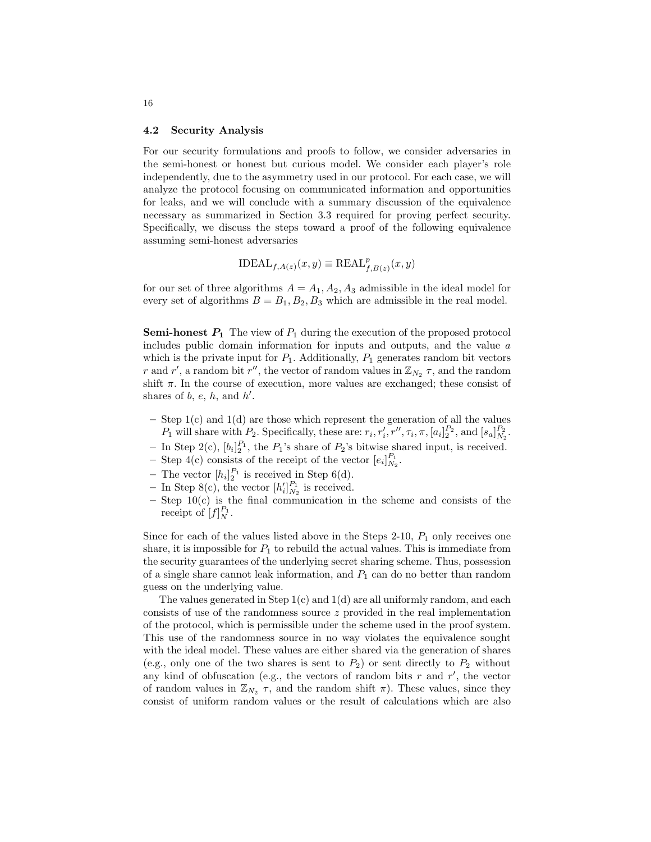#### 4.2 Security Analysis

For our security formulations and proofs to follow, we consider adversaries in the semi-honest or honest but curious model. We consider each player's role independently, due to the asymmetry used in our protocol. For each case, we will analyze the protocol focusing on communicated information and opportunities for leaks, and we will conclude with a summary discussion of the equivalence necessary as summarized in Section 3.3 required for proving perfect security. Specifically, we discuss the steps toward a proof of the following equivalence assuming semi-honest adversaries

$$
\text{IDEAL}_{f,A(z)}(x,y) \equiv \text{REAL}_{f,B(z)}^p(x,y)
$$

for our set of three algorithms  $A = A_1, A_2, A_3$  admissible in the ideal model for every set of algorithms  $B = B_1, B_2, B_3$  which are admissible in the real model.

**Semi-honest**  $P_1$  The view of  $P_1$  during the execution of the proposed protocol includes public domain information for inputs and outputs, and the value a which is the private input for  $P_1$ . Additionally,  $P_1$  generates random bit vectors r and r', a random bit r'', the vector of random values in  $\mathbb{Z}_{N_2}$   $\tau$ , and the random shift  $\pi$ . In the course of execution, more values are exchanged; these consist of shares of  $b, e, h,$  and  $h'$ .

- Step 1(c) and 1(d) are those which represent the generation of all the values  $P_1$  will share with  $P_2$ . Specifically, these are:  $r_i, r'_i, r'', \tau_i, \pi, [a_i]_2^{P_2}$ , and  $[s_a]_{N_2}^{P_2}$ .
- In Step 2(c),  $[b_i]_2^{P_1}$ , the  $P_1$ 's share of  $P_2$ 's bitwise shared input, is received.
- Step 4(c) consists of the receipt of the vector  $[e_i]_{N_2}^{P_1}$ .
- The vector  $[h_i]_2^{P_1}$  is received in Step 6(d).
- In Step 8(c), the vector  $[h'_i]_{N_2}^{P_1}$  is received.
- $-$  Step 10(c) is the final communication in the scheme and consists of the receipt of  $[f]_N^{P_1}$ .

Since for each of the values listed above in the Steps 2-10,  $P_1$  only receives one share, it is impossible for  $P_1$  to rebuild the actual values. This is immediate from the security guarantees of the underlying secret sharing scheme. Thus, possession of a single share cannot leak information, and  $P_1$  can do no better than random guess on the underlying value.

The values generated in Step  $1(c)$  and  $1(d)$  are all uniformly random, and each consists of use of the randomness source  $z$  provided in the real implementation of the protocol, which is permissible under the scheme used in the proof system. This use of the randomness source in no way violates the equivalence sought with the ideal model. These values are either shared via the generation of shares (e.g., only one of the two shares is sent to  $P_2$ ) or sent directly to  $P_2$  without any kind of obfuscation (e.g., the vectors of random bits  $r$  and  $r'$ , the vector of random values in  $\mathbb{Z}_{N_2}$   $\tau$ , and the random shift  $\pi$ ). These values, since they consist of uniform random values or the result of calculations which are also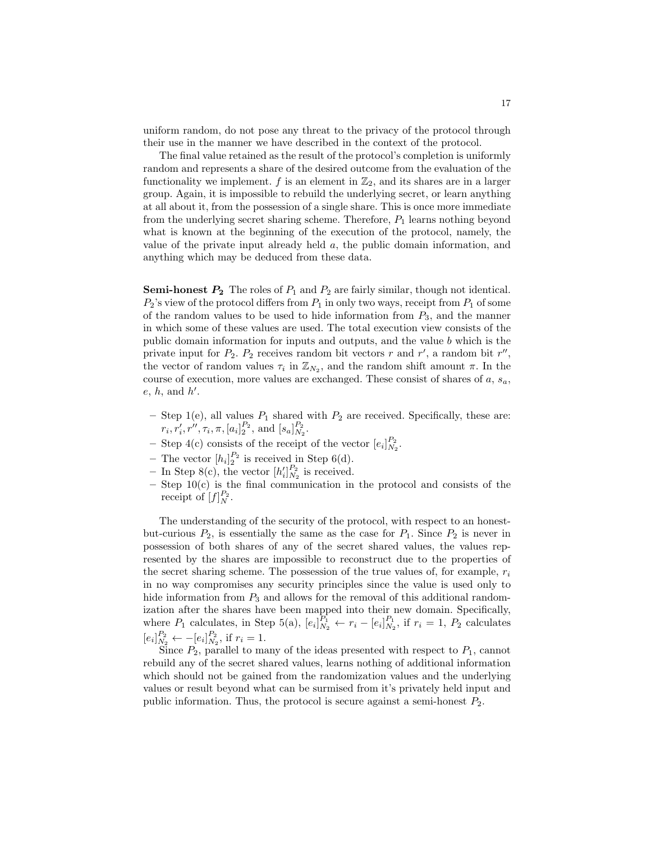uniform random, do not pose any threat to the privacy of the protocol through their use in the manner we have described in the context of the protocol.

The final value retained as the result of the protocol's completion is uniformly random and represents a share of the desired outcome from the evaluation of the functionality we implement. f is an element in  $\mathbb{Z}_2$ , and its shares are in a larger group. Again, it is impossible to rebuild the underlying secret, or learn anything at all about it, from the possession of a single share. This is once more immediate from the underlying secret sharing scheme. Therefore,  $P_1$  learns nothing beyond what is known at the beginning of the execution of the protocol, namely, the value of the private input already held a, the public domain information, and anything which may be deduced from these data.

**Semi-honest**  $P_2$  The roles of  $P_1$  and  $P_2$  are fairly similar, though not identical.  $P_2$ 's view of the protocol differs from  $P_1$  in only two ways, receipt from  $P_1$  of some of the random values to be used to hide information from  $P_3$ , and the manner in which some of these values are used. The total execution view consists of the public domain information for inputs and outputs, and the value b which is the private input for  $P_2$ .  $P_2$  receives random bit vectors r and r', a random bit r'', the vector of random values  $\tau_i$  in  $\mathbb{Z}_{N_2}$ , and the random shift amount  $\pi$ . In the course of execution, more values are exchanged. These consist of shares of  $a, s_a$ ,  $e, h, \text{ and } h'.$ 

- Step 1(e), all values  $P_1$  shared with  $P_2$  are received. Specifically, these are:  $r_i, r'_i, r'', \tau_i, \pi, [a_i]_2^{P_2}$ , and  $[s_a]_{N_2}^{P_2}$ .
- Step 4(c) consists of the receipt of the vector  $[e_i]_{N_2}^{P_2}$ .
- The vector  $[h_i]_2^{P_2}$  is received in Step 6(d).
- In Step 8(c), the vector  $[h'_i]_{N_2}^{P_2}$  is received.
- $-$  Step 10(c) is the final communication in the protocol and consists of the receipt of  $[f]_N^{P_2}$ .

The understanding of the security of the protocol, with respect to an honestbut-curious  $P_2$ , is essentially the same as the case for  $P_1$ . Since  $P_2$  is never in possession of both shares of any of the secret shared values, the values represented by the shares are impossible to reconstruct due to the properties of the secret sharing scheme. The possession of the true values of, for example,  $r_i$ in no way compromises any security principles since the value is used only to hide information from  $P_3$  and allows for the removal of this additional randomization after the shares have been mapped into their new domain. Specifically, where  $P_1$  calculates, in Step 5(a),  $[e_i]_{N_2}^{P_1} \leftarrow r_i - [e_i]_{N_2}^{P_1}$ , if  $r_i = 1$ ,  $P_2$  calculates  $[e_i]_{N_2}^{P_2} \leftarrow - [e_i]_{N_2}^{P_2}$ , if  $r_i = 1$ .

Since  $P_2$ , parallel to many of the ideas presented with respect to  $P_1$ , cannot rebuild any of the secret shared values, learns nothing of additional information which should not be gained from the randomization values and the underlying values or result beyond what can be surmised from it's privately held input and public information. Thus, the protocol is secure against a semi-honest  $P_2$ .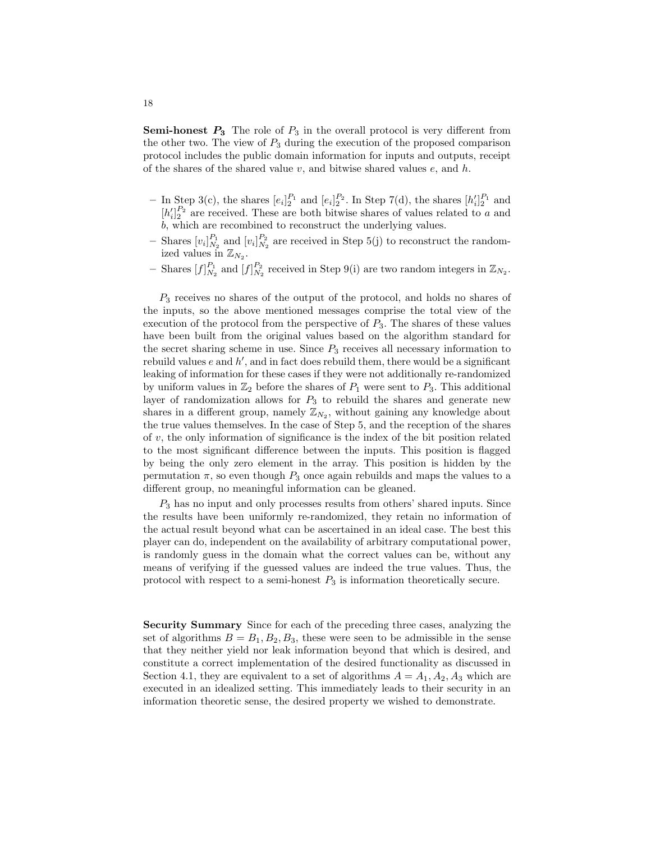**Semi-honest**  $P_3$  The role of  $P_3$  in the overall protocol is very different from the other two. The view of  $P_3$  during the execution of the proposed comparison protocol includes the public domain information for inputs and outputs, receipt of the shares of the shared value  $v$ , and bitwise shared values  $e$ , and  $h$ .

- In Step 3(c), the shares  $[e_i]_2^{P_1}$  and  $[e_i]_2^{P_2}$ . In Step 7(d), the shares  $[h'_i]_2^{P_1}$  and  $[h'_i]_2^{P_2}$  are received. These are both bitwise shares of values related to a and b, which are recombined to reconstruct the underlying values.
- Shares  $[v_i]_{N_2}^{P_1}$  and  $[v_i]_{N_2}^{P_2}$  are received in Step 5(j) to reconstruct the randomized values in  $\mathbb{Z}_{N_2}$ .
- Shares  $[f]_{N_2}^{P_1}$  and  $[f]_{N_2}^{P_2}$  received in Step 9(i) are two random integers in  $\mathbb{Z}_{N_2}$ .

 $P_3$  receives no shares of the output of the protocol, and holds no shares of the inputs, so the above mentioned messages comprise the total view of the execution of the protocol from the perspective of  $P_3$ . The shares of these values have been built from the original values based on the algorithm standard for the secret sharing scheme in use. Since  $P_3$  receives all necessary information to rebuild values  $e$  and  $h'$ , and in fact does rebuild them, there would be a significant leaking of information for these cases if they were not additionally re-randomized by uniform values in  $\mathbb{Z}_2$  before the shares of  $P_1$  were sent to  $P_3$ . This additional layer of randomization allows for  $P_3$  to rebuild the shares and generate new shares in a different group, namely  $\mathbb{Z}_{N_2}$ , without gaining any knowledge about the true values themselves. In the case of Step 5, and the reception of the shares of  $v$ , the only information of significance is the index of the bit position related to the most significant difference between the inputs. This position is flagged by being the only zero element in the array. This position is hidden by the permutation  $\pi$ , so even though  $P_3$  once again rebuilds and maps the values to a different group, no meaningful information can be gleaned.

 $P_3$  has no input and only processes results from others' shared inputs. Since the results have been uniformly re-randomized, they retain no information of the actual result beyond what can be ascertained in an ideal case. The best this player can do, independent on the availability of arbitrary computational power, is randomly guess in the domain what the correct values can be, without any means of verifying if the guessed values are indeed the true values. Thus, the protocol with respect to a semi-honest  $P_3$  is information theoretically secure.

Security Summary Since for each of the preceding three cases, analyzing the set of algorithms  $B = B_1, B_2, B_3$ , these were seen to be admissible in the sense that they neither yield nor leak information beyond that which is desired, and constitute a correct implementation of the desired functionality as discussed in Section 4.1, they are equivalent to a set of algorithms  $A = A_1, A_2, A_3$  which are executed in an idealized setting. This immediately leads to their security in an information theoretic sense, the desired property we wished to demonstrate.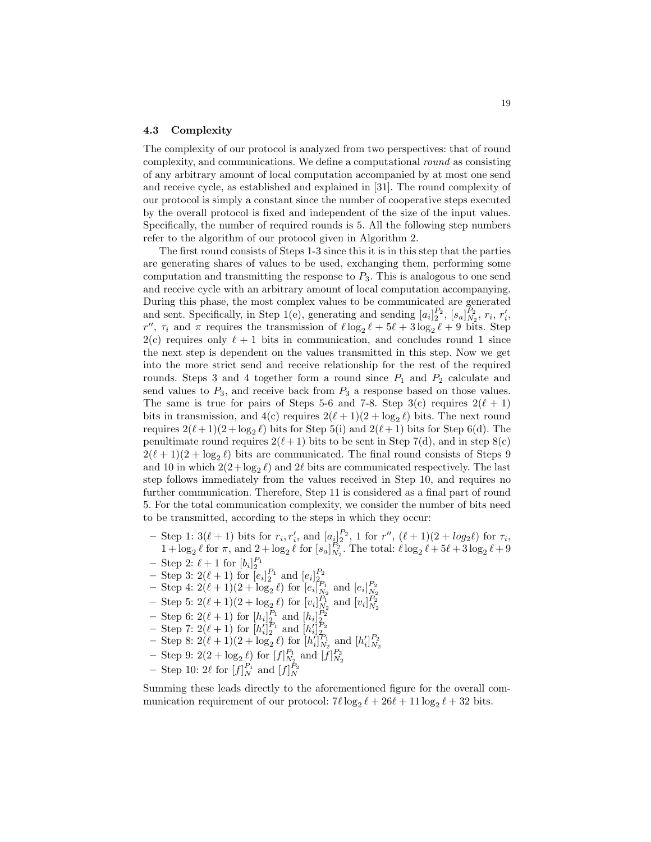#### 4.3 Complexity

The complexity of our protocol is analyzed from two perspectives: that of round complexity, and communications. We define a computational round as consisting of any arbitrary amount of local computation accompanied by at most one send and receive cycle, as established and explained in [31]. The round complexity of our protocol is simply a constant since the number of cooperative steps executed by the overall protocol is fixed and independent of the size of the input values. Specifically, the number of required rounds is 5. All the following step numbers refer to the algorithm of our protocol given in Algorithm 2.

The first round consists of Steps 1-3 since this it is in this step that the parties are generating shares of values to be used, exchanging them, performing some computation and transmitting the response to  $P_3$ . This is analogous to one send and receive cycle with an arbitrary amount of local computation accompanying. During this phase, the most complex values to be communicated are generated and sent. Specifically, in Step 1(e), generating and sending  $[a_i]_2^{P_2}$ ,  $[s_a]_{N_2}^{P_2}$ ,  $r_i$ ,  $r'_i$ , r'',  $\tau_i$  and  $\pi$  requires the transmission of  $\ell \log_2 \ell + 5\ell + 3 \log_2 \ell + 9$  bits. Step  $2(c)$  requires only  $\ell + 1$  bits in communication, and concludes round 1 since the next step is dependent on the values transmitted in this step. Now we get into the more strict send and receive relationship for the rest of the required rounds. Steps 3 and 4 together form a round since  $P_1$  and  $P_2$  calculate and send values to  $P_3$ , and receive back from  $P_3$  a response based on those values. The same is true for pairs of Steps 5-6 and 7-8. Step 3(c) requires  $2(\ell + 1)$ bits in transmission, and  $4(c)$  requires  $2(\ell + 1)(2 + \log_2 \ell)$  bits. The next round requires  $2(\ell + 1)(2 + \log_2 \ell)$  bits for Step 5(i) and  $2(\ell + 1)$  bits for Step 6(d). The penultimate round requires  $2(\ell + 1)$  bits to be sent in Step 7(d), and in step 8(c)  $2(\ell + 1)(2 + \log_2 \ell)$  bits are communicated. The final round consists of Steps 9 and 10 in which  $2(2 + \log_2 \ell)$  and 2 $\ell$  bits are communicated respectively. The last step follows immediately from the values received in Step 10, and requires no further communication. Therefore, Step 11 is considered as a final part of round 5. For the total communication complexity, we consider the number of bits need to be transmitted, according to the steps in which they occur:

- Step 1:  $3(\ell + 1)$  bits for  $r_i, r'_i$ , and  $[a_i]_2^{P_2}$ , 1 for  $r''$ ,  $(\ell + 1)(2 + log_2 \ell)$  for  $\tau_i$ ,  $1 + \log_2 \ell$  for  $\pi$ , and  $2 + \log_2 \ell$  for  $[s_a]_{N_2}^{P_2}$ . The total:  $\ell \log_2 \ell + 5\ell + 3 \log_2 \ell + 9$
- 
- 
- Step 2:  $\ell + 1$  for  $[b_i]_2^{P_1}$ <br>
 Step 3:  $2(\ell + 1)$  for  $[e_i]_2^{P_1}$  and  $[e_i]_2^{P_2}$ <br>
 Step 4:  $2(\ell + 1)(2 + \log_2 \ell)$  for  $[e_i]_{N_2}^{P_1}$  and  $[e_i]_{N_2}^{P_2}$
- Step 5:  $2(\ell+1)(2 + \log_2 \ell)$  for  $[v_i]_{N_2}^{P_1}$  and  $[v_i]_{N_2}^{P_2}$
- 
- 
- Step 6:  $2(\ell + 1)$  for  $[h_i]_2^{P_1}$  and  $[h_i']_2^{P_2}$ <br>
 Step 7:  $2(\ell + 1)$  for  $[h_i']_2^{P_1}$  and  $[h_i']_2^{P_2}$ <br>
 Step 8:  $2(\ell + 1)(2 + \log_2 \ell)$  for  $[h_i']_{N_2}^{P_1}$  and  $[h_i']_{N_2}^{P_2}$
- Step 9:  $2(2 + \log_2 \ell)$  for  $[f]_{N_2}^{P_1}$  and  $[f]_{N_2}^{P_2}$
- Step 10:  $2\ell$  for  $[f]_N^{P_1}$  and  $[f]_N^{\bar{P}_2}$

Summing these leads directly to the aforementioned figure for the overall communication requirement of our protocol:  $7\ell \log_2 \ell + 26\ell + 11 \log_2 \ell + 32$  bits.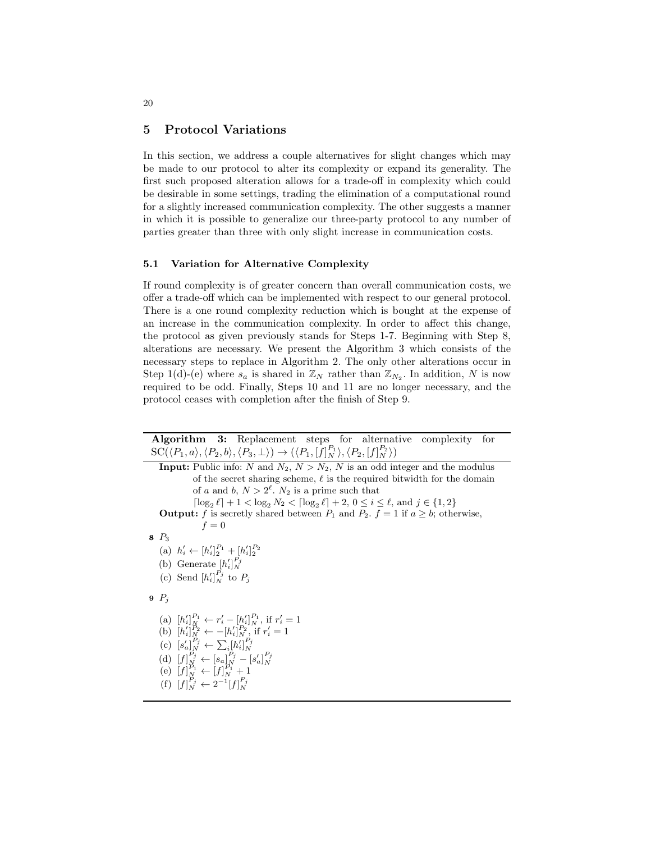## 5 Protocol Variations

In this section, we address a couple alternatives for slight changes which may be made to our protocol to alter its complexity or expand its generality. The first such proposed alteration allows for a trade-off in complexity which could be desirable in some settings, trading the elimination of a computational round for a slightly increased communication complexity. The other suggests a manner in which it is possible to generalize our three-party protocol to any number of parties greater than three with only slight increase in communication costs.

### 5.1 Variation for Alternative Complexity

If round complexity is of greater concern than overall communication costs, we offer a trade-off which can be implemented with respect to our general protocol. There is a one round complexity reduction which is bought at the expense of an increase in the communication complexity. In order to affect this change, the protocol as given previously stands for Steps 1-7. Beginning with Step 8, alterations are necessary. We present the Algorithm 3 which consists of the necessary steps to replace in Algorithm 2. The only other alterations occur in Step 1(d)-(e) where  $s_a$  is shared in  $\mathbb{Z}_N$  rather than  $\mathbb{Z}_{N_2}$ . In addition, N is now required to be odd. Finally, Steps 10 and 11 are no longer necessary, and the protocol ceases with completion after the finish of Step 9.

Algorithm 3: Replacement steps for alternative complexity for  $\mathrm{SC}(\langle P_1,a\rangle, \langle P_2,b\rangle, \langle P_3,\perp\rangle) \rightarrow (\langle P_1,[f]_N^{P_1}\rangle, \langle P_2,[f]_N^{P_2}\rangle)$ **Input:** Public info: N and  $N_2$ ,  $N > N_2$ , N is an odd integer and the modulus of the secret sharing scheme,  $\ell$  is the required bitwidth for the domain of a and b,  $N > 2^{\ell}$ .  $N_2$  is a prime such that  $\lceil \log_2 \ell \rceil + 1 < \log_2 N_2 < \lceil \log_2 \ell \rceil + 2, 0 \le i \le \ell, \text{ and } j \in \{1, 2\}$ **Output:** f is secretly shared between  $P_1$  and  $P_2$ .  $f = 1$  if  $a \geq b$ ; otherwise,  $f = 0$ 8  $P_3$ (a)  $h'_i \leftarrow [h'_i]_2^{P_1} + [h'_i]_2^{P_2}$ (b) Generate  $[h'_i]_N^{P_j}$ (c) Send  $[h'_i]_N^{P_j}$  to  $P_j$  $9$   $P_i$ (a)  $[h'_i]_N^{P_1} \leftarrow r'_i - [h'_i]_N^{P_1}$ , if  $r'_i = 1$ (b)  $[h'_i]_N^{P_2} \leftarrow -[h'_i]_N^{P_2}$ , if  $r'_i = 1$ (c)  $[s'_a]_N^{P_j} \leftarrow \sum_i [h'_i]_N^{P_j}$ (d)  $[f]_N^{P_j} \leftarrow [s_a]_N^{P_j} - [s'_a]_N^{P_j}$ <br>
(e)  $[f]_N^{P_1} \leftarrow [f]_N^{P_1} + 1$ (f)  $[f]_N^{P_j} \leftarrow 2^{-1} [f]_N^{P_j}$ 

20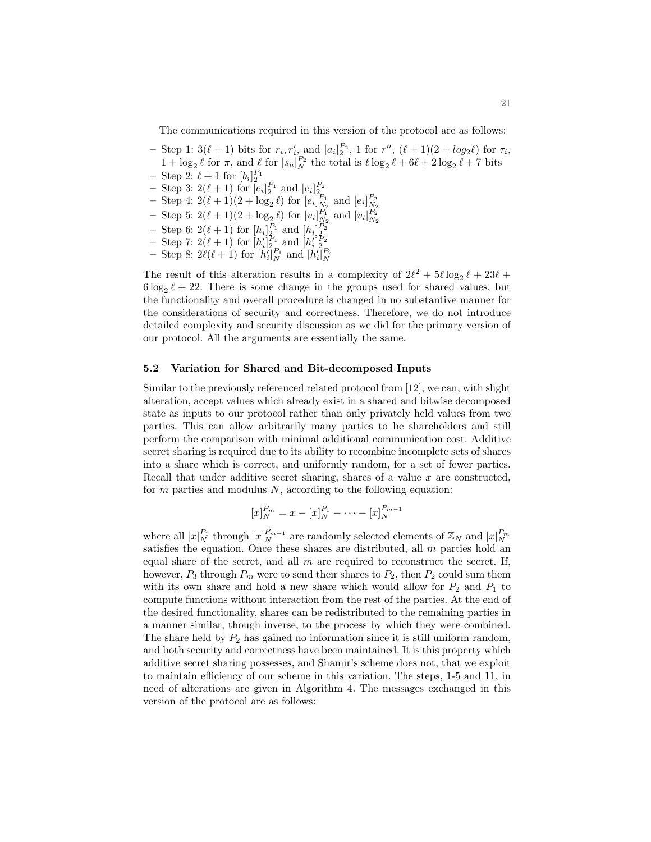The communications required in this version of the protocol are as follows:

- Step 1:  $3(\ell + 1)$  bits for  $r_i, r'_i$  and  $[a_i]_2^{P_2}$ , 1 for  $r''$ ,  $(\ell + 1)(2 + log_2 \ell)$  for  $\tau_i$ ,  $1 + \log_2 \ell$  for  $\pi$ , and  $\ell$  for  $[s_a]_N^{P_2}$  the total is  $\ell \log_2 \ell + 6\ell + 2 \log_2 \ell + 7$  bits
- 
- 
- Step 2:  $\ell + 1$  for  $[b_i]_2^{P_1}$ <br>
 Step 3:  $2(\ell + 1)$  for  $[e_i]_2^{P_1}$  and  $[e_i]_2^{P_2}$ <br>
 Step 4:  $2(\ell + 1)(2 + \log_2 \ell)$  for  $[e_i]_{N_2}^{P_1}$  and  $[e_i]_{N_2}^{P_2}$
- Step 5:  $2(\ell+1)(2 + \log_2 \ell)$  for  $[v_i]_{N_2}^{P_1}$  and  $[v_i]_{N_2}^{P_2}$
- Step 6: 2( $\ell$  + 1) for  $[h_i]_2^{P_1}$  and  $[h_i]_2^{P_2}$ <br>
 Step 7: 2( $\ell$  + 1) for  $[h'_i]_2^{P_1}$  and  $[h'_i]_2^{P_2}$ <br>
 Step 8: 2 $\ell$ ( $\ell$  + 1) for  $[h'_i]_N^{P_1}$  and  $[h'_i]_N^{P_2}$
- 
- 

The result of this alteration results in a complexity of  $2\ell^2 + 5\ell \log_2 \ell + 23\ell +$  $6 \log_2 \ell + 22$ . There is some change in the groups used for shared values, but the functionality and overall procedure is changed in no substantive manner for the considerations of security and correctness. Therefore, we do not introduce detailed complexity and security discussion as we did for the primary version of our protocol. All the arguments are essentially the same.

### 5.2 Variation for Shared and Bit-decomposed Inputs

Similar to the previously referenced related protocol from [12], we can, with slight alteration, accept values which already exist in a shared and bitwise decomposed state as inputs to our protocol rather than only privately held values from two parties. This can allow arbitrarily many parties to be shareholders and still perform the comparison with minimal additional communication cost. Additive secret sharing is required due to its ability to recombine incomplete sets of shares into a share which is correct, and uniformly random, for a set of fewer parties. Recall that under additive secret sharing, shares of a value  $x$  are constructed, for  $m$  parties and modulus  $N$ , according to the following equation:

$$
[x]_N^{P_m} = x - [x]_N^{P_1} - \dots - [x]_N^{P_{m-1}}
$$

where all  $[x]_N^{P_1}$  through  $[x]_N^{P_{m-1}}$  are randomly selected elements of  $\mathbb{Z}_N$  and  $[x]_N^{P_m}$  satisfies the equation. Once these shares are distributed, all m parties hold an equal share of the secret, and all  $m$  are required to reconstruct the secret. If, however,  $P_3$  through  $P_m$  were to send their shares to  $P_2$ , then  $P_2$  could sum them with its own share and hold a new share which would allow for  $P_2$  and  $P_1$  to compute functions without interaction from the rest of the parties. At the end of the desired functionality, shares can be redistributed to the remaining parties in a manner similar, though inverse, to the process by which they were combined. The share held by  $P_2$  has gained no information since it is still uniform random, and both security and correctness have been maintained. It is this property which additive secret sharing possesses, and Shamir's scheme does not, that we exploit to maintain efficiency of our scheme in this variation. The steps, 1-5 and 11, in need of alterations are given in Algorithm 4. The messages exchanged in this version of the protocol are as follows: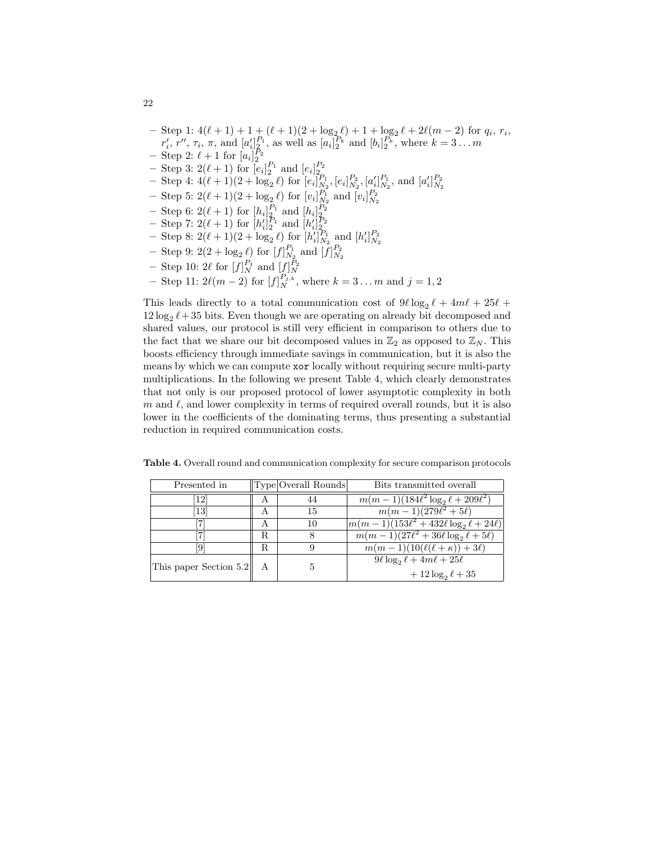- Step 1:  $4(\ell + 1) + 1 + (\ell + 1)(2 + \log_2 \ell) + 1 + \log_2 \ell + 2\ell(m 2)$  for  $q_i, r_i$ ,  $r'_i, r'', \tau_i, \pi$ , and  $[a'_i]_2^{P_1}$ , as well as  $[a_i]_2^{P_k}$  and  $[b_i]_2^{P_k}$ , where  $k = 3...m$ - Step 2:  $\ell + 1$  for  $[a_i]_2^{P_2}$
- 
- Step 3:  $2(\ell + 1)$  for  $[e_i]_2^{P_1}$  and  $[e_i]_2^{P_2}$ <br>
 Step 4:  $4(\ell + 1)(2 + \log_2 \ell)$  for  $[e_i]_{N_2}^{P_1}$ ,  $[e_i]_{N_2}^{P_2}$ ,  $[a'_i]_{N_2}^{P_1}$ , and  $[a'_i]_{N_2}^{P_2}$
- Step 5:  $2(\ell + 1)(2 + \log_2 \ell)$  for  $[v_i]_{N_2}^{P_1}$  and  $[v_i]_{N_2}^{P_2}$
- 
- 
- Step 6:  $2(\ell + 1)$  for  $[h_i]_2^{P_1}$  and  $[h_i']_2^{P_2}$ <br>
 Step 7:  $2(\ell + 1)$  for  $[h_i']_2^{P_1}$  and  $[h_i']_2^{P_2}$ <br>
 Step 8:  $2(\ell + 1)(2 + \log_2 \ell)$  for  $[h_i']_{N_2}^{P_1}$  and  $[h_i']_{N_2}^{P_2}$
- Step 9:  $2(2 + \log_2 \ell)$  for  $[f]_{N_2}^{P_1}$  and  $[f]_{N_2}^{P_2}$
- Step 10:  $2\ell$  for  $[f]_N^{P_1}$  and  $[f]_N^{P_2}$
- Step 11:  $2\ell(m-2)$  for  $[f]_N^{P_{j,k}}$ , where  $k = 3 \dots m$  and  $j = 1, 2$

This leads directly to a total communication cost of  $9\ell \log_2 \ell + 4m\ell + 25\ell +$  $12 \log_2 \ell + 35$  bits. Even though we are operating on already bit decomposed and shared values, our protocol is still very efficient in comparison to others due to the fact that we share our bit decomposed values in  $\mathbb{Z}_2$  as opposed to  $\mathbb{Z}_N$ . This boosts efficiency through immediate savings in communication, but it is also the means by which we can compute xor locally without requiring secure multi-party multiplications. In the following we present Table 4, which clearly demonstrates that not only is our proposed protocol of lower asymptotic complexity in both  $m$  and  $\ell$ , and lower complexity in terms of required overall rounds, but it is also lower in the coefficients of the dominating terms, thus presenting a substantial reduction in required communication costs.

|  | Table 4. Overall round and communication complexity for secure comparison protocols |  |  |
|--|-------------------------------------------------------------------------------------|--|--|
|  |                                                                                     |  |  |

| Presented in           |    | Type Overall Rounds | Bits transmitted overall                            |
|------------------------|----|---------------------|-----------------------------------------------------|
| $\lceil 12 \rceil$     | А  |                     | $m(m-1)(184\ell^2 \log_2 \ell + 209\ell^2)$         |
| [13]                   | А  | 15                  | $m(m-1)(279\ell^2+5\ell)$                           |
|                        | А  | 10                  | $\sqrt{m(m-1)(153\ell^2+432\ell\log_2\ell+24\ell)}$ |
|                        | R. | 8                   | $m(m-1)(27\ell^2+36\ell\log_2\ell+5\ell)$           |
| 9                      | R. | 9                   | $m(m-1)(10(\ell(\ell+\kappa))+3\ell)$               |
| This paper Section 5.2 | A  | 5                   | $9\ell \log_2 \ell + 4m\ell + 25\ell$               |
|                        |    |                     | $+12\log_2\ell+35$                                  |

22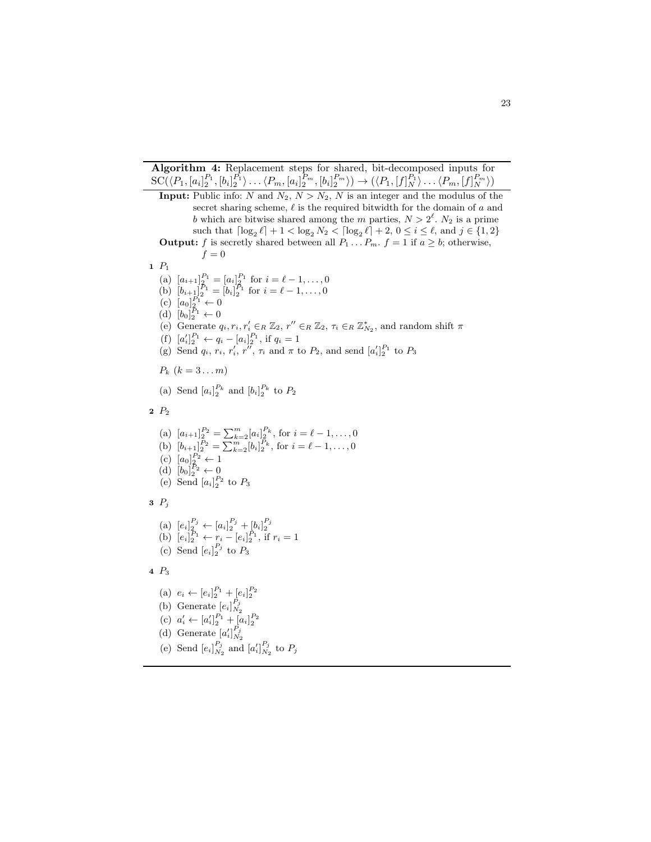Algorithm 4: Replacement steps for shared, bit-decomposed inputs for  $SC(\langle P_1, [a_i]_2^{P_1}, [b_i]_2^{P_1} \rangle \dots \langle P_m, [a_i]_2^{P_m}, [b_i]_2^{P_m} \rangle) \rightarrow (\langle P_1, [f]_N^{P_1} \rangle \dots \langle P_m, [f]_N^{P_m} \rangle)$ **Input:** Public info: N and  $N_2$ ,  $N > N_2$ , N is an integer and the modulus of the secret sharing scheme,  $\ell$  is the required bitwidth for the domain of a and b which are bitwise shared among the m parties,  $N > 2^{\ell}$ . N<sub>2</sub> is a prime such that  $\lceil \log_2 \ell \rceil + 1 < \log_2 N_2 < \lceil \log_2 \ell \rceil + 2, 0 \le i \le \ell$ , and  $j \in \{1, 2\}$ **Output:** f is secretly shared between all  $P_1 \ldots P_m$ .  $f = 1$  if  $a \ge b$ ; otherwise,  $f = 0$  $1$   $P_1$ (a)  $[a_{i+1}]_2^{P_1} = [a_i]_2^{P_1}$  for  $i = \ell - 1, \ldots, 0$ (b)  $[b_{i+\frac{1}{2}}]_2^{p_1} = [b_i]_2^{p_1}$  for  $i = \ell - 1, \ldots, 0$  $(c)$   $[a_0]_2^{P_1} \leftarrow 0$ (d)  $[b_0]_2^{\bar{P}_1} \leftarrow 0$ (e) Generate  $q_i, r_i, r'_i \in_R \mathbb{Z}_2$ ,  $r'' \in_R \mathbb{Z}_2$ ,  $\tau_i \in_R \mathbb{Z}_{N_2}^*$ , and random shift  $\pi$ (f)  $[a'_i]_2^{P_1} \leftarrow q_i - [a_i]_2^{P_1}$ , if  $q_i = 1$ (g) Send  $q_i$ ,  $r_i$ ,  $r_i'$ ,  $r_i''$ ,  $\tau_i$  and  $\pi$  to  $P_2$ , and send  $[a_i']_2^{P_1}$  to  $P_3$  $P_k$   $(k = 3...m)$ (a) Send  $[a_i]_2^{P_k}$  and  $[b_i]_2^{P_k}$  to  $P_2$  $2 P_2$ (a)  $[a_{i+1}]_2^{P_2} = \sum_{k=2}^m [a_i]_2^{P_k}$ , for  $i = \ell - 1, ..., 0$ (b)  $[b_{i+1}]_2^{P_2} = \sum_{k=2}^m [b_i]_2^{P_k}$ , for  $i = \ell - 1, ..., 0$  $(c)$   $[a_0]_2^{P_2} \leftarrow 1$ (d)  $[b_0]_2^{\bar{P}_2} \leftarrow 0$ (e) Send  $[a_i]_2^{P_2}$  to  $P_3$  $3\ \ P_i$ (a)  $[e_i]_2^{P_j} \leftarrow [a_i]_2^{P_j} + [b_i]_2^{P_j}$ <br>
(b)  $[e_i]_2^{P_1} \leftarrow r_i - [e_i]_2^{P_1}$ , if  $r_i = 1$ (c) Send  $[e_i]_2^{P_j}$  to  $P_3$ 4 P<sup>3</sup> (a)  $e_i \leftarrow [e_i]_2^{P_1} + [e_i]_2^{P_2}$ (b) Generate  $[e_i]_{N_2}^{P_j}$ (c)  $a'_i \leftarrow [a'_i]_2^{P_1} + [a_i]_2^{P_2}$ (d) Generate  $[a'_i]_{N_2}^{P_j}$ (e) Send  $\left[e_i\right]_{N_2}^{P_j}$  and  $\left[a_i'\right]_{N_2}^{P_j}$  to  $P_j$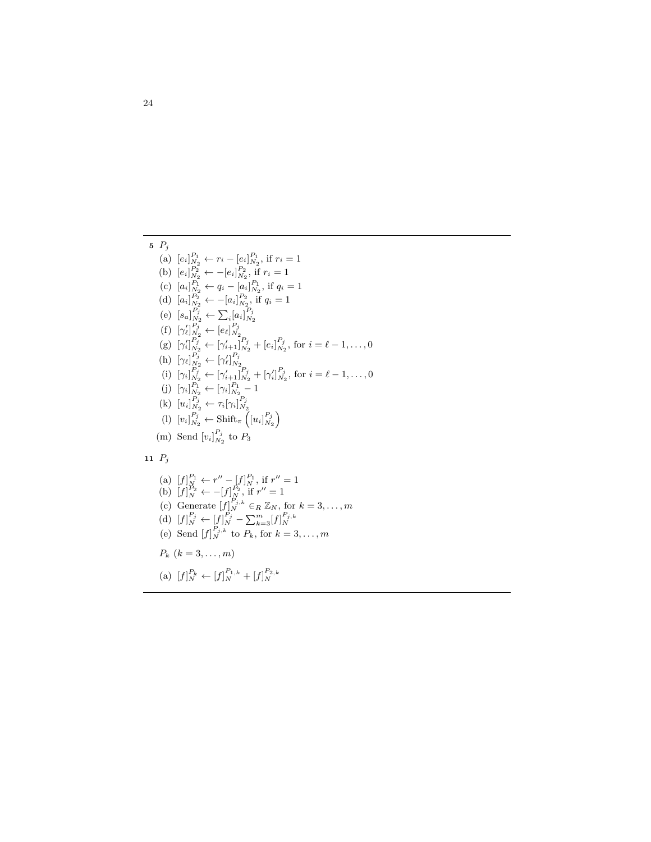5 
$$
P_j
$$
  
\n(a)  $[e_i]_{N_2}^{P_1} \leftarrow r_i - [e_i]_{N_2}^{P_1}$ , if  $r_i = 1$   
\n(b)  $[e_i]_{N_2}^{P_2} \leftarrow - [e_i]_{N_2}^{P_1}$ , if  $r_i = 1$   
\n(c)  $[a_i]_{N_2}^{P_1} \leftarrow q_i - [a_i]_{N_2}^{P_1}$ , if  $q_i = 1$   
\n(d)  $[a_i]_{N_2}^{P_2} \leftarrow - [a_i]_{N_2}^{P_2}$ , if  $q_i = 1$   
\n(e)  $[s_a]_{N_2}^{P_j} \leftarrow \sum_i [a_i]_{N_2}^{P_j}$   
\n(f)  $[\gamma'_i]_{N_2}^{P_j} \leftarrow [e_i]_{N_2}^{P_j}$   
\n(g)  $[\gamma'_i]_{N_2}^{P_j} \leftarrow [\gamma'_{i+1}]_{N_2}^{P_j} + [e_i]_{N_2}^{P_j}$ , for  $i = \ell - 1, ..., 0$   
\n(h)  $[\gamma_i]_{N_2}^{P_j} \leftarrow [\gamma'_i]_{N_2}^{P_j}$   
\n(i)  $[\gamma_i]_{N_2}^{P_j} \leftarrow [\gamma'_i]_{N_2}^{P_j} + [\gamma'_i]_{N_2}^{P_j}$ , for  $i = \ell - 1, ..., 0$   
\n(j)  $[\gamma_i]_{N_2}^{P_1} \leftarrow [\gamma_i]_{N_2}^{P_1} - 1$   
\n(k)  $[u_i]_{N_2}^{P_j} \leftarrow \gamma_i[\gamma_i]_{N_2}^{P_j}$   
\n(l)  $[v_i]_{N_2}^{P_j} \leftarrow \text{Shift}_{\pi}([u_i]_{N_2}^{P_j})$   
\n(m) Send  $[v_i]_{N_2}^{P_j}$  to  $P_3$ 

# 11  $P_j$

(a) 
$$
[f]_N^{P_1} \leftarrow r'' - [f]_{N}^{P_1}
$$
, if  $r'' = 1$   
\n(b)  $[f]_N^{P_2} \leftarrow -[f]_{N}^{P_2}$ , if  $r'' = 1$   
\n(c) Generate  $[f]_N^{P_j} \in R \mathbb{Z}_N$ , for  $k = 3, ..., m$   
\n(d)  $[f]_N^{P_j} \leftarrow [f]_{N}^{P_j} - \sum_{k=3}^{m} [f]_{N}^{P_j,k}$   
\n(e) Send  $[f]_N^{P_{j,k}}$  to  $P_k$ , for  $k = 3, ..., m$   
\n $P_k$   $(k = 3, ..., m)$   
\n(a)  $[f]_N^{P_k} \leftarrow [f]_N^{P_{1,k}} + [f]_N^{P_{2,k}}$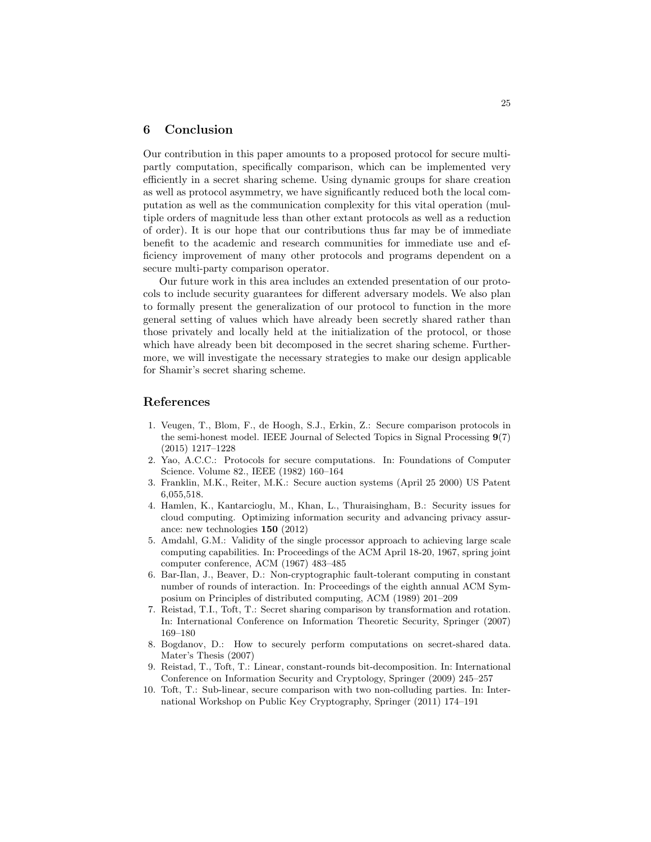## 6 Conclusion

Our contribution in this paper amounts to a proposed protocol for secure multipartly computation, specifically comparison, which can be implemented very efficiently in a secret sharing scheme. Using dynamic groups for share creation as well as protocol asymmetry, we have significantly reduced both the local computation as well as the communication complexity for this vital operation (multiple orders of magnitude less than other extant protocols as well as a reduction of order). It is our hope that our contributions thus far may be of immediate benefit to the academic and research communities for immediate use and efficiency improvement of many other protocols and programs dependent on a secure multi-party comparison operator.

Our future work in this area includes an extended presentation of our protocols to include security guarantees for different adversary models. We also plan to formally present the generalization of our protocol to function in the more general setting of values which have already been secretly shared rather than those privately and locally held at the initialization of the protocol, or those which have already been bit decomposed in the secret sharing scheme. Furthermore, we will investigate the necessary strategies to make our design applicable for Shamir's secret sharing scheme.

## References

- 1. Veugen, T., Blom, F., de Hoogh, S.J., Erkin, Z.: Secure comparison protocols in the semi-honest model. IEEE Journal of Selected Topics in Signal Processing 9(7) (2015) 1217–1228
- 2. Yao, A.C.C.: Protocols for secure computations. In: Foundations of Computer Science. Volume 82., IEEE (1982) 160–164
- 3. Franklin, M.K., Reiter, M.K.: Secure auction systems (April 25 2000) US Patent 6,055,518.
- 4. Hamlen, K., Kantarcioglu, M., Khan, L., Thuraisingham, B.: Security issues for cloud computing. Optimizing information security and advancing privacy assurance: new technologies 150 (2012)
- 5. Amdahl, G.M.: Validity of the single processor approach to achieving large scale computing capabilities. In: Proceedings of the ACM April 18-20, 1967, spring joint computer conference, ACM (1967) 483–485
- 6. Bar-Ilan, J., Beaver, D.: Non-cryptographic fault-tolerant computing in constant number of rounds of interaction. In: Proceedings of the eighth annual ACM Symposium on Principles of distributed computing, ACM (1989) 201–209
- 7. Reistad, T.I., Toft, T.: Secret sharing comparison by transformation and rotation. In: International Conference on Information Theoretic Security, Springer (2007) 169–180
- 8. Bogdanov, D.: How to securely perform computations on secret-shared data. Mater's Thesis (2007)
- 9. Reistad, T., Toft, T.: Linear, constant-rounds bit-decomposition. In: International Conference on Information Security and Cryptology, Springer (2009) 245–257
- 10. Toft, T.: Sub-linear, secure comparison with two non-colluding parties. In: International Workshop on Public Key Cryptography, Springer (2011) 174–191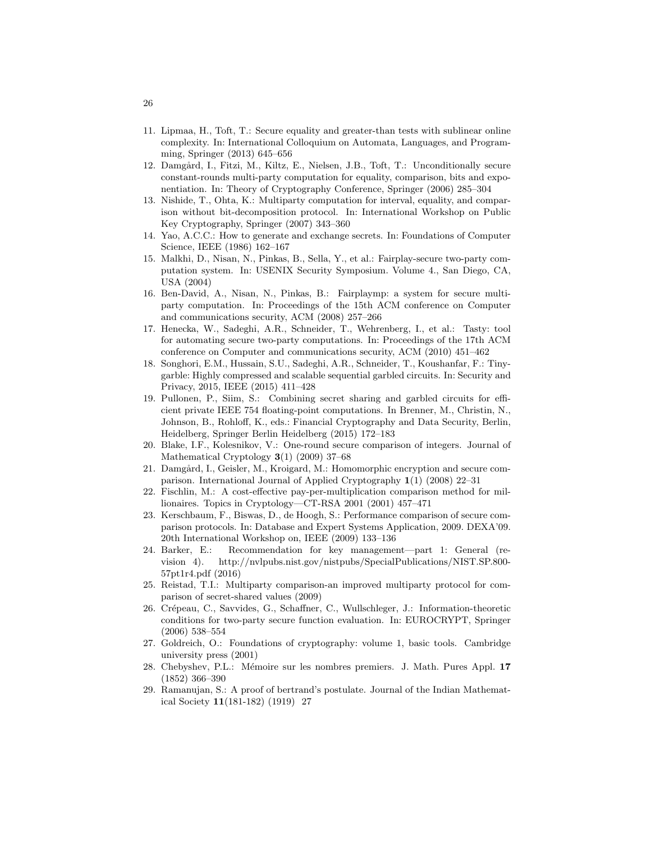- 11. Lipmaa, H., Toft, T.: Secure equality and greater-than tests with sublinear online complexity. In: International Colloquium on Automata, Languages, and Programming, Springer (2013) 645–656
- 12. Damgård, I., Fitzi, M., Kiltz, E., Nielsen, J.B., Toft, T.: Unconditionally secure constant-rounds multi-party computation for equality, comparison, bits and exponentiation. In: Theory of Cryptography Conference, Springer (2006) 285–304
- 13. Nishide, T., Ohta, K.: Multiparty computation for interval, equality, and comparison without bit-decomposition protocol. In: International Workshop on Public Key Cryptography, Springer (2007) 343–360
- 14. Yao, A.C.C.: How to generate and exchange secrets. In: Foundations of Computer Science, IEEE (1986) 162–167
- 15. Malkhi, D., Nisan, N., Pinkas, B., Sella, Y., et al.: Fairplay-secure two-party computation system. In: USENIX Security Symposium. Volume 4., San Diego, CA, USA (2004)
- 16. Ben-David, A., Nisan, N., Pinkas, B.: Fairplaymp: a system for secure multiparty computation. In: Proceedings of the 15th ACM conference on Computer and communications security, ACM (2008) 257–266
- 17. Henecka, W., Sadeghi, A.R., Schneider, T., Wehrenberg, I., et al.: Tasty: tool for automating secure two-party computations. In: Proceedings of the 17th ACM conference on Computer and communications security, ACM (2010) 451–462
- 18. Songhori, E.M., Hussain, S.U., Sadeghi, A.R., Schneider, T., Koushanfar, F.: Tinygarble: Highly compressed and scalable sequential garbled circuits. In: Security and Privacy, 2015, IEEE (2015) 411–428
- 19. Pullonen, P., Siim, S.: Combining secret sharing and garbled circuits for efficient private IEEE 754 floating-point computations. In Brenner, M., Christin, N., Johnson, B., Rohloff, K., eds.: Financial Cryptography and Data Security, Berlin, Heidelberg, Springer Berlin Heidelberg (2015) 172–183
- 20. Blake, I.F., Kolesnikov, V.: One-round secure comparison of integers. Journal of Mathematical Cryptology 3(1) (2009) 37–68
- 21. Damgård, I., Geisler, M., Kroigard, M.: Homomorphic encryption and secure comparison. International Journal of Applied Cryptography 1(1) (2008) 22–31
- 22. Fischlin, M.: A cost-effective pay-per-multiplication comparison method for millionaires. Topics in Cryptology—CT-RSA 2001 (2001) 457–471
- 23. Kerschbaum, F., Biswas, D., de Hoogh, S.: Performance comparison of secure comparison protocols. In: Database and Expert Systems Application, 2009. DEXA'09. 20th International Workshop on, IEEE (2009) 133–136
- 24. Barker, E.: Recommendation for key management—part 1: General (revision 4). http://nvlpubs.nist.gov/nistpubs/SpecialPublications/NIST.SP.800- 57pt1r4.pdf (2016)
- 25. Reistad, T.I.: Multiparty comparison-an improved multiparty protocol for comparison of secret-shared values (2009)
- 26. Crépeau, C., Savvides, G., Schaffner, C., Wullschleger, J.: Information-theoretic conditions for two-party secure function evaluation. In: EUROCRYPT, Springer (2006) 538–554
- 27. Goldreich, O.: Foundations of cryptography: volume 1, basic tools. Cambridge university press (2001)
- 28. Chebyshev, P.L.: Mémoire sur les nombres premiers. J. Math. Pures Appl. 17 (1852) 366–390
- 29. Ramanujan, S.: A proof of bertrand's postulate. Journal of the Indian Mathematical Society 11(181-182) (1919) 27

26